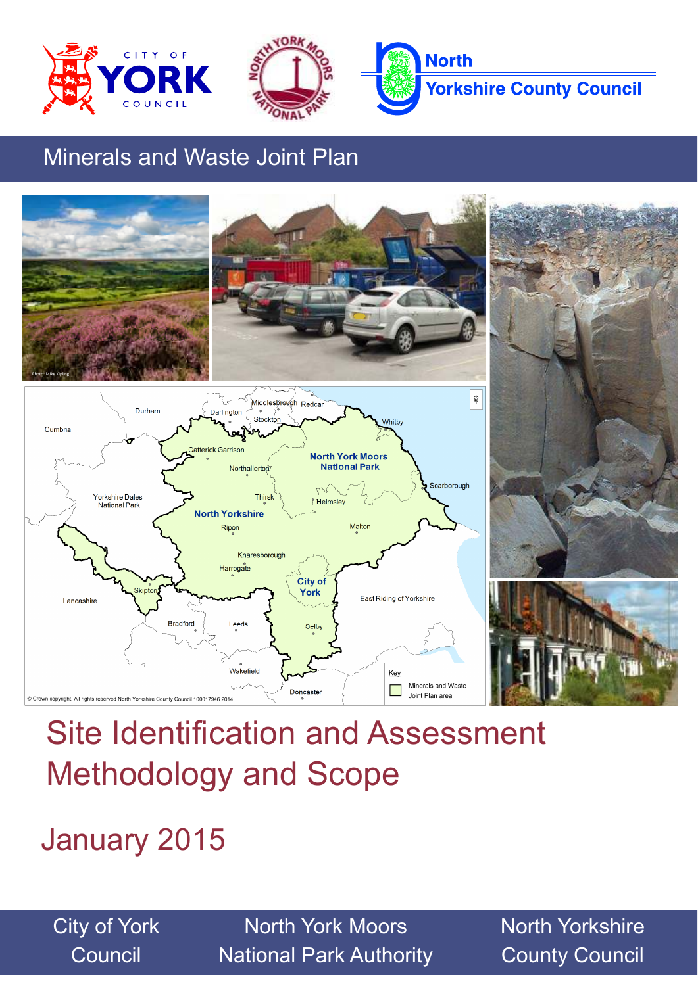





# Minerals and Waste Joint Plan



# Site Identification and Assessment Methodology and Scope

January 2015

City of York **Council** 

North York Moors National Park Authority North Yorkshire County Council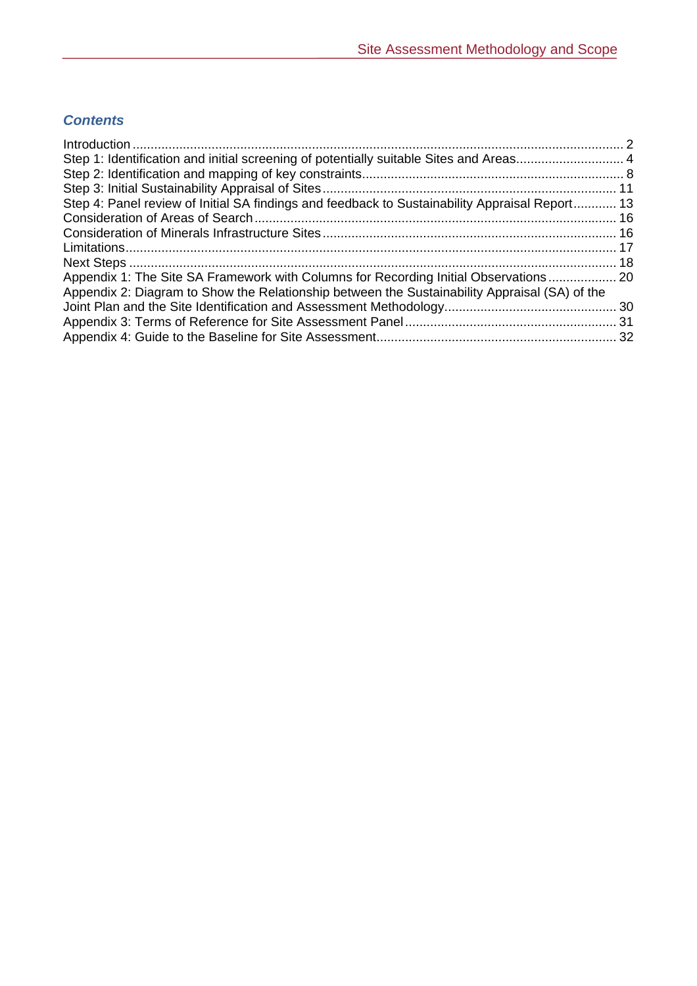### *Contents*

| Step 1: Identification and initial screening of potentially suitable Sites and Areas 4         |  |
|------------------------------------------------------------------------------------------------|--|
|                                                                                                |  |
|                                                                                                |  |
| Step 4: Panel review of Initial SA findings and feedback to Sustainability Appraisal Report 13 |  |
|                                                                                                |  |
|                                                                                                |  |
|                                                                                                |  |
|                                                                                                |  |
| Appendix 1: The Site SA Framework with Columns for Recording Initial Observations 20           |  |
| Appendix 2: Diagram to Show the Relationship between the Sustainability Appraisal (SA) of the  |  |
|                                                                                                |  |
|                                                                                                |  |
|                                                                                                |  |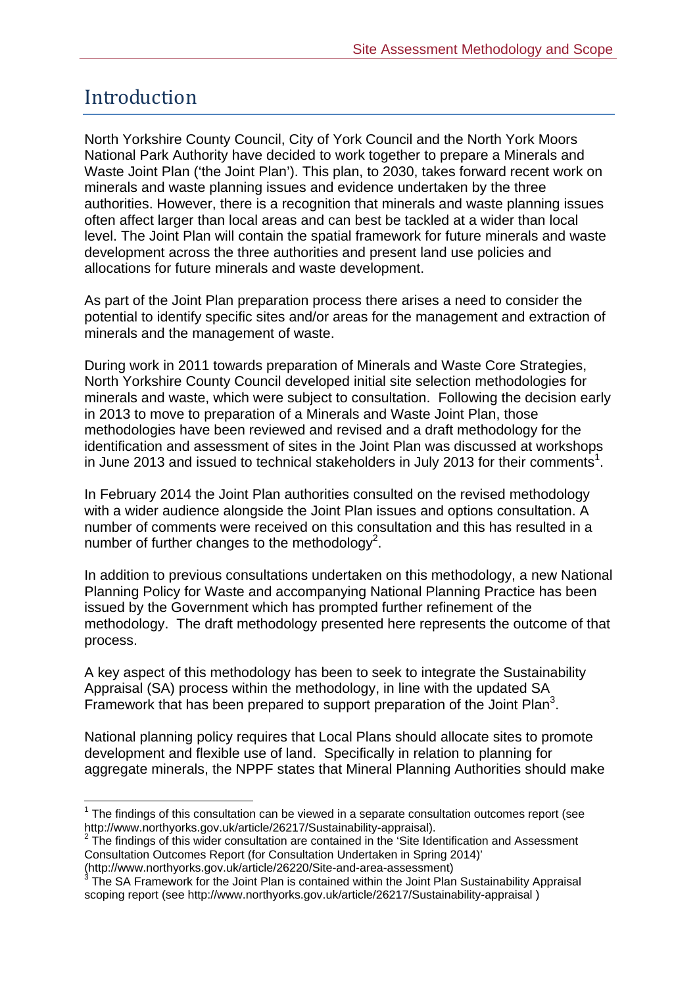### Introduction

 $\overline{a}$ 

North Yorkshire County Council, City of York Council and the North York Moors National Park Authority have decided to work together to prepare a Minerals and Waste Joint Plan ('the Joint Plan'). This plan, to 2030, takes forward recent work on minerals and waste planning issues and evidence undertaken by the three authorities. However, there is a recognition that minerals and waste planning issues often affect larger than local areas and can best be tackled at a wider than local level. The Joint Plan will contain the spatial framework for future minerals and waste development across the three authorities and present land use policies and allocations for future minerals and waste development.

As part of the Joint Plan preparation process there arises a need to consider the potential to identify specific sites and/or areas for the management and extraction of minerals and the management of waste.

During work in 2011 towards preparation of Minerals and Waste Core Strategies, North Yorkshire County Council developed initial site selection methodologies for minerals and waste, which were subject to consultation. Following the decision early in 2013 to move to preparation of a Minerals and Waste Joint Plan, those methodologies have been reviewed and revised and a draft methodology for the identification and assessment of sites in the Joint Plan was discussed at workshops in June 2013 and issued to technical stakeholders in July 2013 for their comments<sup>1</sup>.

In February 2014 the Joint Plan authorities consulted on the revised methodology with a wider audience alongside the Joint Plan issues and options consultation. A number of comments were received on this consultation and this has resulted in a number of further changes to the methodology<sup>2</sup>.

In addition to previous consultations undertaken on this methodology, a new National Planning Policy for Waste and accompanying National Planning Practice has been issued by the Government which has prompted further refinement of the methodology. The draft methodology presented here represents the outcome of that process.

A key aspect of this methodology has been to seek to integrate the Sustainability Appraisal (SA) process within the methodology, in line with the updated SA Framework that has been prepared to support preparation of the Joint Plan<sup>3</sup>.

National planning policy requires that Local Plans should allocate sites to promote development and flexible use of land. Specifically in relation to planning for aggregate minerals, the NPPF states that Mineral Planning Authorities should make

 $1$  The findings of this consultation can be viewed in a separate consultation outcomes report (see http://www.northyorks.gov.uk/article/26217/Sustainability-appraisal). <sup>2</sup>

 $2$  The findings of this wider consultation are contained in the 'Site Identification and Assessment Consultation Outcomes Report (for Consultation Undertaken in Spring 2014)'

<sup>(</sup>http://www.northyorks.gov.uk/article/26220/Site-and-area-assessment)<br><sup>3</sup> The SA Framework for the Joint Plan is contained within the Joint Plan Sustainability Appraisal scoping report (see http://www.northyorks.gov.uk/article/26217/Sustainability-appraisal )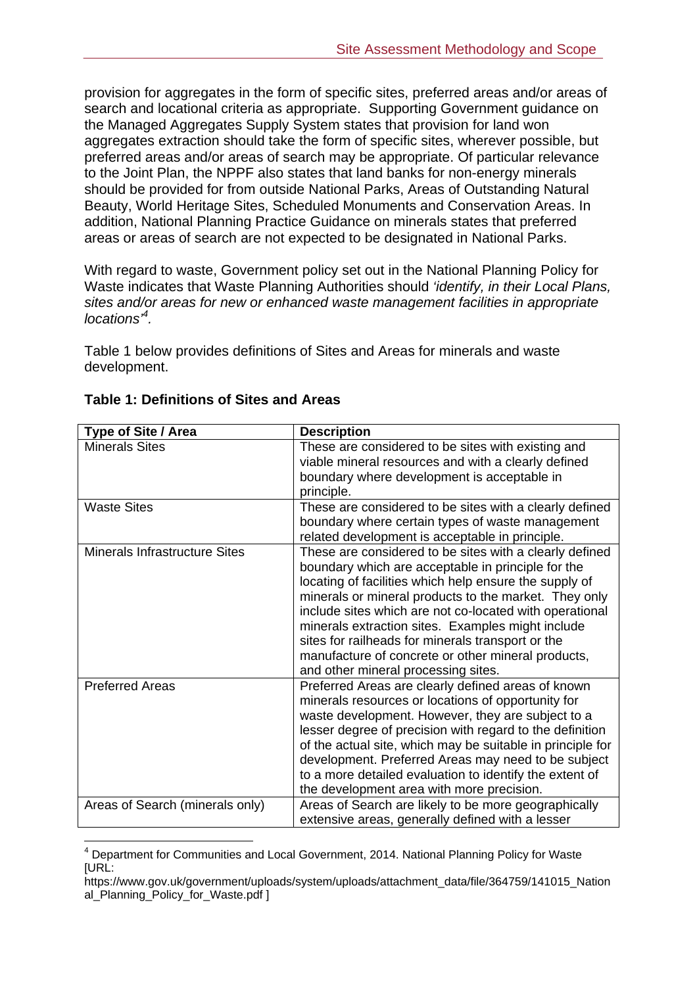provision for aggregates in the form of specific sites, preferred areas and/or areas of search and locational criteria as appropriate. Supporting Government guidance on the Managed Aggregates Supply System states that provision for land won aggregates extraction should take the form of specific sites, wherever possible, but preferred areas and/or areas of search may be appropriate. Of particular relevance to the Joint Plan, the NPPF also states that land banks for non-energy minerals should be provided for from outside National Parks, Areas of Outstanding Natural Beauty, World Heritage Sites, Scheduled Monuments and Conservation Areas. In addition, National Planning Practice Guidance on minerals states that preferred areas or areas of search are not expected to be designated in National Parks.

With regard to waste, Government policy set out in the National Planning Policy for Waste indicates that Waste Planning Authorities should *'identify, in their Local Plans, sites and/or areas for new or enhanced waste management facilities in appropriate locations'<sup>4</sup> .* 

Table 1 below provides definitions of Sites and Areas for minerals and waste development.

| Type of Site / Area                  | <b>Description</b>                                         |
|--------------------------------------|------------------------------------------------------------|
| <b>Minerals Sites</b>                | These are considered to be sites with existing and         |
|                                      | viable mineral resources and with a clearly defined        |
|                                      | boundary where development is acceptable in                |
|                                      | principle.                                                 |
| <b>Waste Sites</b>                   | These are considered to be sites with a clearly defined    |
|                                      | boundary where certain types of waste management           |
|                                      | related development is acceptable in principle.            |
| <b>Minerals Infrastructure Sites</b> | These are considered to be sites with a clearly defined    |
|                                      | boundary which are acceptable in principle for the         |
|                                      | locating of facilities which help ensure the supply of     |
|                                      | minerals or mineral products to the market. They only      |
|                                      | include sites which are not co-located with operational    |
|                                      | minerals extraction sites. Examples might include          |
|                                      | sites for railheads for minerals transport or the          |
|                                      | manufacture of concrete or other mineral products,         |
|                                      | and other mineral processing sites.                        |
| <b>Preferred Areas</b>               | Preferred Areas are clearly defined areas of known         |
|                                      | minerals resources or locations of opportunity for         |
|                                      | waste development. However, they are subject to a          |
|                                      | lesser degree of precision with regard to the definition   |
|                                      | of the actual site, which may be suitable in principle for |
|                                      | development. Preferred Areas may need to be subject        |
|                                      | to a more detailed evaluation to identify the extent of    |
|                                      | the development area with more precision.                  |
| Areas of Search (minerals only)      | Areas of Search are likely to be more geographically       |
|                                      | extensive areas, generally defined with a lesser           |

#### **Table 1: Definitions of Sites and Areas**

 $\overline{a}$ <sup>4</sup> Department for Communities and Local Government, 2014. National Planning Policy for Waste [URL:

https://www.gov.uk/government/uploads/system/uploads/attachment\_data/file/364759/141015\_Nation al\_Planning\_Policy\_for\_Waste.pdf ]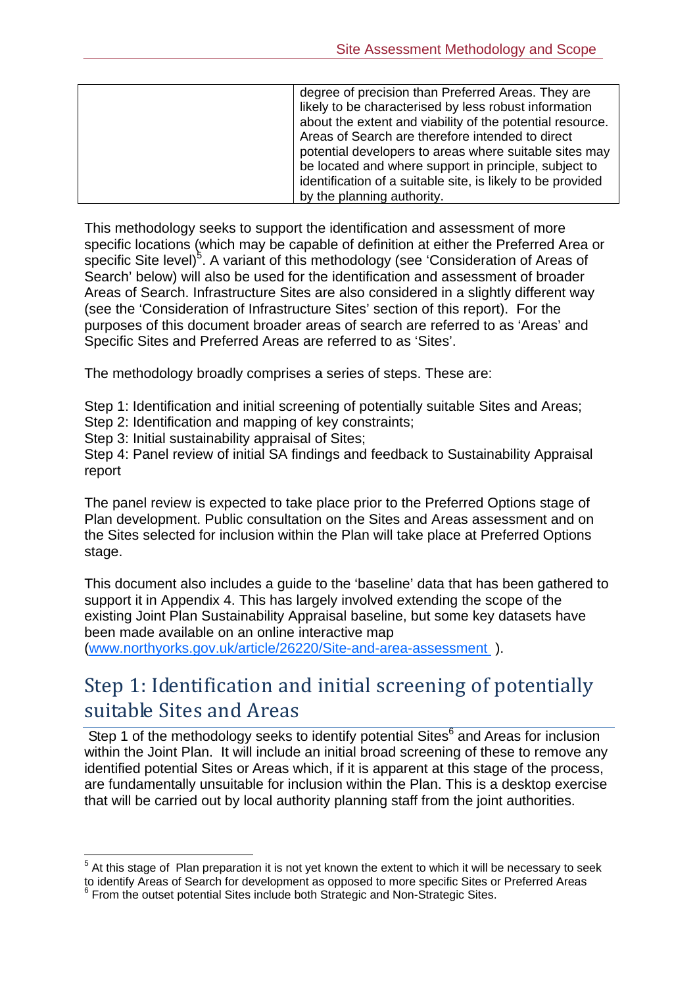| degree of precision than Preferred Areas. They are          |
|-------------------------------------------------------------|
| likely to be characterised by less robust information       |
| about the extent and viability of the potential resource.   |
| Areas of Search are therefore intended to direct            |
| potential developers to areas where suitable sites may      |
| be located and where support in principle, subject to       |
| identification of a suitable site, is likely to be provided |
| by the planning authority.                                  |

This methodology seeks to support the identification and assessment of more specific locations (which may be capable of definition at either the Preferred Area or specific Site level) $5$ . A variant of this methodology (see 'Consideration of Areas of Search' below) will also be used for the identification and assessment of broader Areas of Search. Infrastructure Sites are also considered in a slightly different way (see the 'Consideration of Infrastructure Sites' section of this report). For the purposes of this document broader areas of search are referred to as 'Areas' and Specific Sites and Preferred Areas are referred to as 'Sites'.

The methodology broadly comprises a series of steps. These are:

Step 1: Identification and initial screening of potentially suitable Sites and Areas;

Step 2: Identification and mapping of key constraints;

Step 3: Initial sustainability appraisal of Sites;

 $\overline{a}$ 

Step 4: Panel review of initial SA findings and feedback to Sustainability Appraisal report

The panel review is expected to take place prior to the Preferred Options stage of Plan development. Public consultation on the Sites and Areas assessment and on the Sites selected for inclusion within the Plan will take place at Preferred Options stage.

This document also includes a guide to the 'baseline' data that has been gathered to support it in Appendix 4. This has largely involved extending the scope of the existing Joint Plan Sustainability Appraisal baseline, but some key datasets have been made available on an online interactive map

(www.northyorks.gov.uk/article/26220/Site-and-area-assessment ).

### Step 1: Identification and initial screening of potentially suitable Sites and Areas

Step 1 of the methodology seeks to identify potential Sites<sup>6</sup> and Areas for inclusion within the Joint Plan. It will include an initial broad screening of these to remove any identified potential Sites or Areas which, if it is apparent at this stage of the process, are fundamentally unsuitable for inclusion within the Plan. This is a desktop exercise that will be carried out by local authority planning staff from the joint authorities.

 $5$  At this stage of Plan preparation it is not yet known the extent to which it will be necessary to seek to identify Areas of Search for development as opposed to more specific Sites or Preferred Areas <sup>6</sup> From the outset potential Sites include both Strategic and Non-Strategic Sites.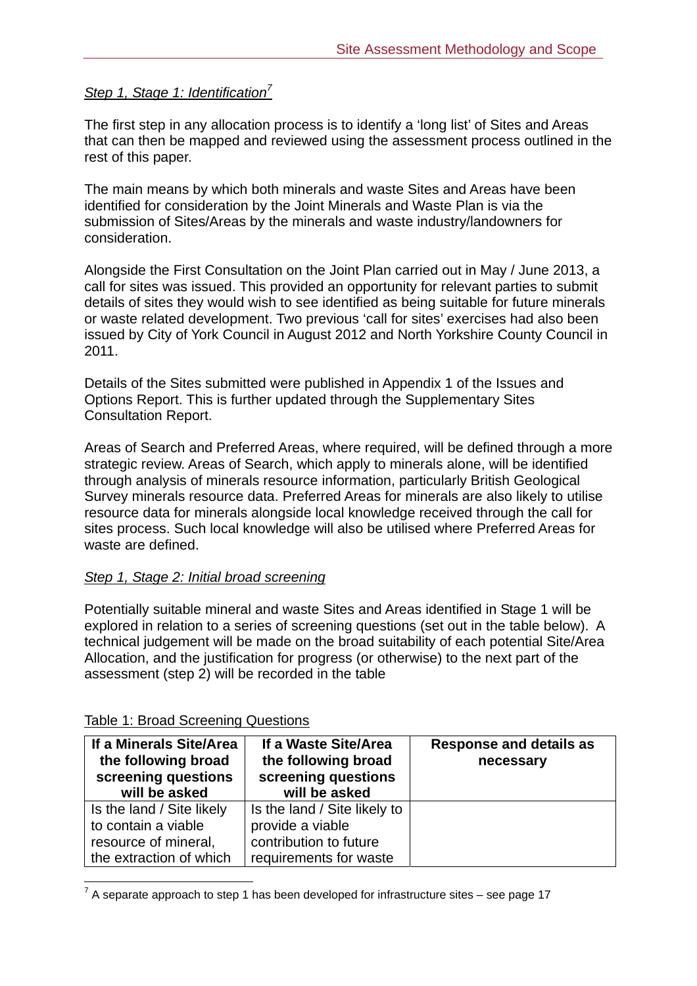#### *Step 1, Stage 1: Identification<sup>7</sup>*

The first step in any allocation process is to identify a 'long list' of Sites and Areas that can then be mapped and reviewed using the assessment process outlined in the rest of this paper.

The main means by which both minerals and waste Sites and Areas have been identified for consideration by the Joint Minerals and Waste Plan is via the submission of Sites/Areas by the minerals and waste industry/landowners for consideration.

Alongside the First Consultation on the Joint Plan carried out in May / June 2013, a call for sites was issued. This provided an opportunity for relevant parties to submit details of sites they would wish to see identified as being suitable for future minerals or waste related development. Two previous 'call for sites' exercises had also been issued by City of York Council in August 2012 and North Yorkshire County Council in 2011.

Details of the Sites submitted were published in Appendix 1 of the Issues and Options Report. This is further updated through the Supplementary Sites Consultation Report.

Areas of Search and Preferred Areas, where required, will be defined through a more strategic review. Areas of Search, which apply to minerals alone, will be identified through analysis of minerals resource information, particularly British Geological Survey minerals resource data. Preferred Areas for minerals are also likely to utilise resource data for minerals alongside local knowledge received through the call for sites process. Such local knowledge will also be utilised where Preferred Areas for waste are defined.

#### *Step 1, Stage 2: Initial broad screening*

Potentially suitable mineral and waste Sites and Areas identified in Stage 1 will be explored in relation to a series of screening questions (set out in the table below). A technical judgement will be made on the broad suitability of each potential Site/Area Allocation, and the justification for progress (or otherwise) to the next part of the assessment (step 2) will be recorded in the table

| If a Minerals Site/Area<br>the following broad<br>screening questions<br>will be asked | If a Waste Site/Area<br>the following broad<br>screening questions<br>will be asked | <b>Response and details as</b><br>necessary |
|----------------------------------------------------------------------------------------|-------------------------------------------------------------------------------------|---------------------------------------------|
| Is the land / Site likely                                                              | Is the land / Site likely to                                                        |                                             |
| to contain a viable                                                                    | provide a viable                                                                    |                                             |
| resource of mineral,                                                                   | contribution to future                                                              |                                             |
| the extraction of which                                                                | requirements for waste                                                              |                                             |

#### Table 1: Broad Screening Questions

 7 A separate approach to step 1 has been developed for infrastructure sites – see page 17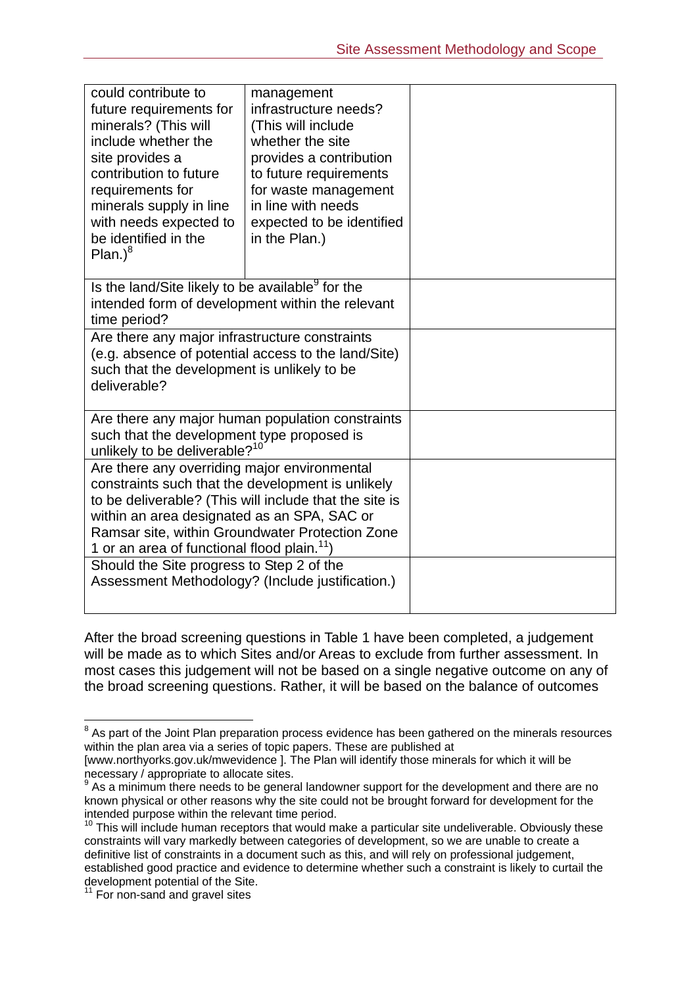| could contribute to<br>future requirements for<br>minerals? (This will<br>include whether the<br>site provides a<br>contribution to future<br>requirements for<br>minerals supply in line<br>with needs expected to<br>be identified in the<br>Plan. <sup>8</sup>                                                        | management<br>infrastructure needs?<br>(This will include<br>whether the site<br>provides a contribution<br>to future requirements<br>for waste management<br>in line with needs<br>expected to be identified<br>in the Plan.) |  |
|--------------------------------------------------------------------------------------------------------------------------------------------------------------------------------------------------------------------------------------------------------------------------------------------------------------------------|--------------------------------------------------------------------------------------------------------------------------------------------------------------------------------------------------------------------------------|--|
| Is the land/Site likely to be available <sup>9</sup> for the<br>intended form of development within the relevant<br>time period?                                                                                                                                                                                         |                                                                                                                                                                                                                                |  |
| Are there any major infrastructure constraints<br>(e.g. absence of potential access to the land/Site)<br>such that the development is unlikely to be<br>deliverable?                                                                                                                                                     |                                                                                                                                                                                                                                |  |
| Are there any major human population constraints<br>such that the development type proposed is<br>unlikely to be deliverable? <sup>10</sup>                                                                                                                                                                              |                                                                                                                                                                                                                                |  |
| Are there any overriding major environmental<br>constraints such that the development is unlikely<br>to be deliverable? (This will include that the site is<br>within an area designated as an SPA, SAC or<br>Ramsar site, within Groundwater Protection Zone<br>1 or an area of functional flood plain. <sup>11</sup> ) |                                                                                                                                                                                                                                |  |
| Should the Site progress to Step 2 of the<br>Assessment Methodology? (Include justification.)                                                                                                                                                                                                                            |                                                                                                                                                                                                                                |  |

After the broad screening questions in Table 1 have been completed, a judgement will be made as to which Sites and/or Areas to exclude from further assessment. In most cases this judgement will not be based on a single negative outcome on any of the broad screening questions. Rather, it will be based on the balance of outcomes

 8 As part of the Joint Plan preparation process evidence has been gathered on the minerals resources within the plan area via a series of topic papers. These are published at

<sup>[</sup>www.northyorks.gov.uk/mwevidence ]. The Plan will identify those minerals for which it will be necessary / appropriate to allocate sites.

 $9$  As a minimum there needs to be general landowner support for the development and there are no known physical or other reasons why the site could not be brought forward for development for the intended purpose within the relevant time period.

 $10$  This will include human receptors that would make a particular site undeliverable. Obviously these constraints will vary markedly between categories of development, so we are unable to create a definitive list of constraints in a document such as this, and will rely on professional judgement, established good practice and evidence to determine whether such a constraint is likely to curtail the development potential of the Site.

<sup>&</sup>lt;sup>11</sup> For non-sand and gravel sites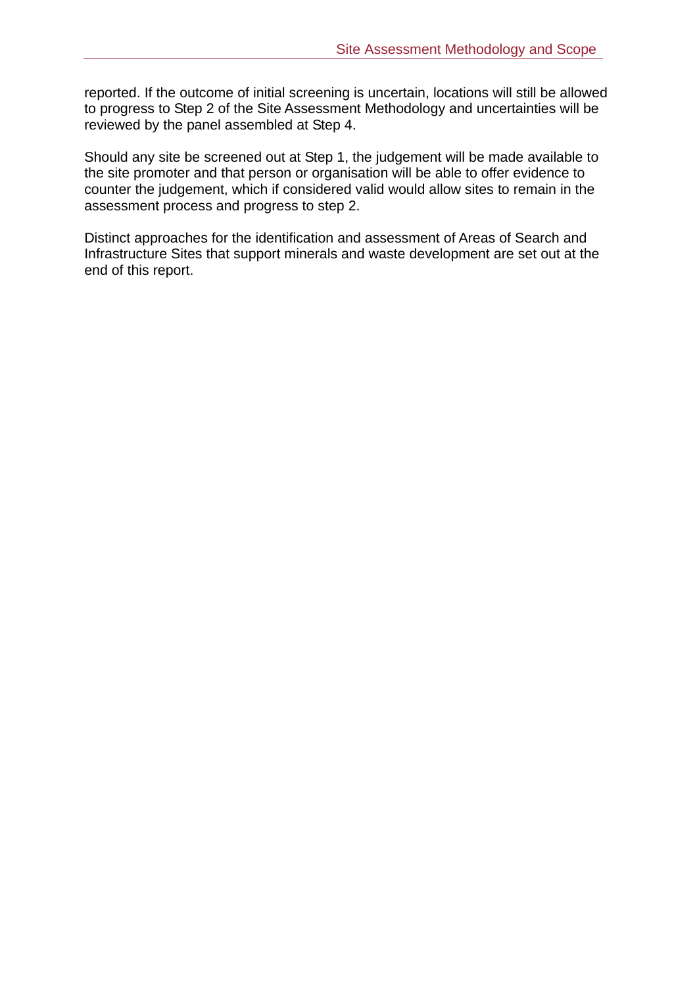reported. If the outcome of initial screening is uncertain, locations will still be allowed to progress to Step 2 of the Site Assessment Methodology and uncertainties will be reviewed by the panel assembled at Step 4.

Should any site be screened out at Step 1, the judgement will be made available to the site promoter and that person or organisation will be able to offer evidence to counter the judgement, which if considered valid would allow sites to remain in the assessment process and progress to step 2.

Distinct approaches for the identification and assessment of Areas of Search and Infrastructure Sites that support minerals and waste development are set out at the end of this report.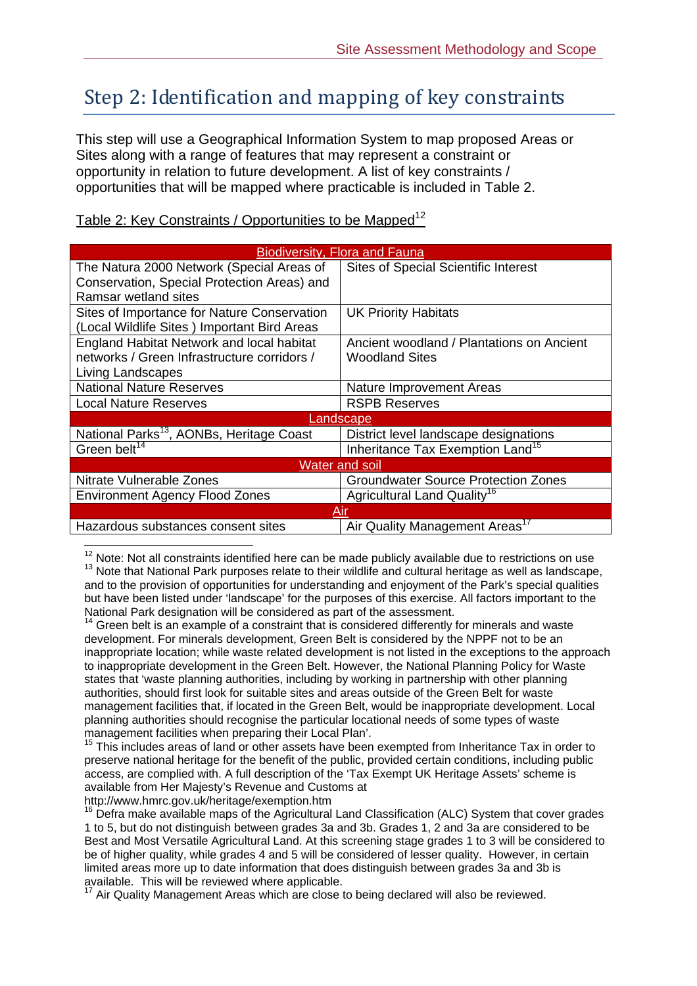### Step 2: Identification and mapping of key constraints

This step will use a Geographical Information System to map proposed Areas or Sites along with a range of features that may represent a constraint or opportunity in relation to future development. A list of key constraints / opportunities that will be mapped where practicable is included in Table 2.

| <b>Biodiversity, Flora and Fauna</b>                 |                                              |  |
|------------------------------------------------------|----------------------------------------------|--|
| The Natura 2000 Network (Special Areas of            | <b>Sites of Special Scientific Interest</b>  |  |
| Conservation, Special Protection Areas) and          |                                              |  |
| Ramsar wetland sites                                 |                                              |  |
| Sites of Importance for Nature Conservation          | <b>UK Priority Habitats</b>                  |  |
| (Local Wildlife Sites) Important Bird Areas          |                                              |  |
| England Habitat Network and local habitat            | Ancient woodland / Plantations on Ancient    |  |
| networks / Green Infrastructure corridors /          | <b>Woodland Sites</b>                        |  |
| Living Landscapes                                    |                                              |  |
| <b>National Nature Reserves</b>                      | Nature Improvement Areas                     |  |
| <b>Local Nature Reserves</b>                         | <b>RSPB Reserves</b>                         |  |
| <u>_andscape</u>                                     |                                              |  |
| National Parks <sup>13</sup> , AONBs, Heritage Coast | District level landscape designations        |  |
| Green belt <sup>14</sup>                             | Inheritance Tax Exemption Land <sup>15</sup> |  |
| <b>Water and soil</b>                                |                                              |  |
| Nitrate Vulnerable Zones                             | <b>Groundwater Source Protection Zones</b>   |  |
| <b>Environment Agency Flood Zones</b>                | Agricultural Land Quality <sup>16</sup>      |  |
| Air                                                  |                                              |  |
| Hazardous substances consent sites                   | Air Quality Management Areas <sup>17</sup>   |  |

Table 2: Key Constraints / Opportunities to be Mapped<sup>12</sup>

<sup>12</sup> Note: Not all constraints identified here can be made publicly available due to restrictions on use 13 Note: Note: Note all constraints in the mate on the mande public and cultural heritage as well as landscape, and to the provision of opportunities for understanding and enjoyment of the Park's special qualities but have been listed under 'landscape' for the purposes of this exercise. All factors important to the National Park designation will be considered as part of the assessment.<br><sup>14</sup> Green belt is an example of a constraint that is considered differently for minerals and waste

development. For minerals development, Green Belt is considered by the NPPF not to be an inappropriate location; while waste related development is not listed in the exceptions to the approach to inappropriate development in the Green Belt. However, the National Planning Policy for Waste states that 'waste planning authorities, including by working in partnership with other planning authorities, should first look for suitable sites and areas outside of the Green Belt for waste management facilities that, if located in the Green Belt, would be inappropriate development. Local planning authorities should recognise the particular locational needs of some types of waste management facilities when preparing their Local Plan'.

<sup>15</sup> This includes areas of land or other assets have been exempted from Inheritance Tax in order to preserve national heritage for the benefit of the public, provided certain conditions, including public access, are complied with. A full description of the 'Tax Exempt UK Heritage Assets' scheme is available from Her Majesty's Revenue and Customs at

http://www.hmrc.gov.uk/heritage/exemption.htm

 $16$  Defra make available maps of the Agricultural Land Classification (ALC) System that cover grades 1 to 5, but do not distinguish between grades 3a and 3b. Grades 1, 2 and 3a are considered to be Best and Most Versatile Agricultural Land. At this screening stage grades 1 to 3 will be considered to be of higher quality, while grades 4 and 5 will be considered of lesser quality. However, in certain limited areas more up to date information that does distinguish between grades 3a and 3b is available. This will be reviewed where applicable.

 $17$  Air Quality Management Areas which are close to being declared will also be reviewed.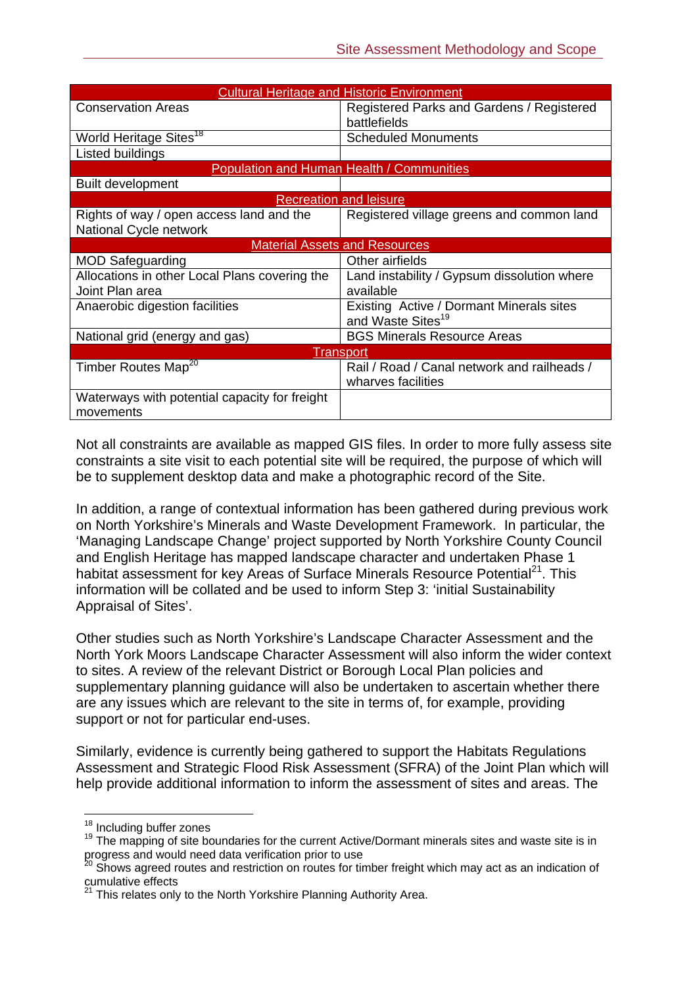| <b>Cultural Heritage and Historic Environment</b> |                                                  |  |
|---------------------------------------------------|--------------------------------------------------|--|
| <b>Conservation Areas</b>                         | Registered Parks and Gardens / Registered        |  |
|                                                   | battlefields                                     |  |
| World Heritage Sites <sup>18</sup>                | <b>Scheduled Monuments</b>                       |  |
| Listed buildings                                  |                                                  |  |
|                                                   | <b>Population and Human Health / Communities</b> |  |
| <b>Built development</b>                          |                                                  |  |
|                                                   | <b>Recreation and leisure</b>                    |  |
| Rights of way / open access land and the          | Registered village greens and common land        |  |
| National Cycle network                            |                                                  |  |
|                                                   | <b>Material Assets and Resources</b>             |  |
| <b>MOD Safeguarding</b>                           | Other airfields                                  |  |
| Allocations in other Local Plans covering the     | Land instability / Gypsum dissolution where      |  |
| Joint Plan area                                   | available                                        |  |
| Anaerobic digestion facilities                    | Existing Active / Dormant Minerals sites         |  |
|                                                   | and Waste Sites <sup>19</sup>                    |  |
| National grid (energy and gas)                    | <b>BGS Minerals Resource Areas</b>               |  |
| Transport                                         |                                                  |  |
| Timber Routes Map <sup>20</sup>                   | Rail / Road / Canal network and railheads /      |  |
|                                                   | wharves facilities                               |  |
| Waterways with potential capacity for freight     |                                                  |  |
| movements                                         |                                                  |  |

Not all constraints are available as mapped GIS files. In order to more fully assess site constraints a site visit to each potential site will be required, the purpose of which will be to supplement desktop data and make a photographic record of the Site.

In addition, a range of contextual information has been gathered during previous work on North Yorkshire's Minerals and Waste Development Framework. In particular, the 'Managing Landscape Change' project supported by North Yorkshire County Council and English Heritage has mapped landscape character and undertaken Phase 1 habitat assessment for key Areas of Surface Minerals Resource Potential<sup>21</sup>. This information will be collated and be used to inform Step 3: 'initial Sustainability Appraisal of Sites'.

Other studies such as North Yorkshire's Landscape Character Assessment and the North York Moors Landscape Character Assessment will also inform the wider context to sites. A review of the relevant District or Borough Local Plan policies and supplementary planning guidance will also be undertaken to ascertain whether there are any issues which are relevant to the site in terms of, for example, providing support or not for particular end-uses.

Similarly, evidence is currently being gathered to support the Habitats Regulations Assessment and Strategic Flood Risk Assessment (SFRA) of the Joint Plan which will help provide additional information to inform the assessment of sites and areas. The

<sup>&</sup>lt;sup>18</sup> Including buffer zones

 $19$  The mapping of site boundaries for the current Active/Dormant minerals sites and waste site is in progress and would need data verification prior to use

<sup>&</sup>lt;sup>20</sup> Shows agreed routes and restriction on routes for timber freight which may act as an indication of cumulative effects

<sup>&</sup>lt;sup>21</sup> This relates only to the North Yorkshire Planning Authority Area.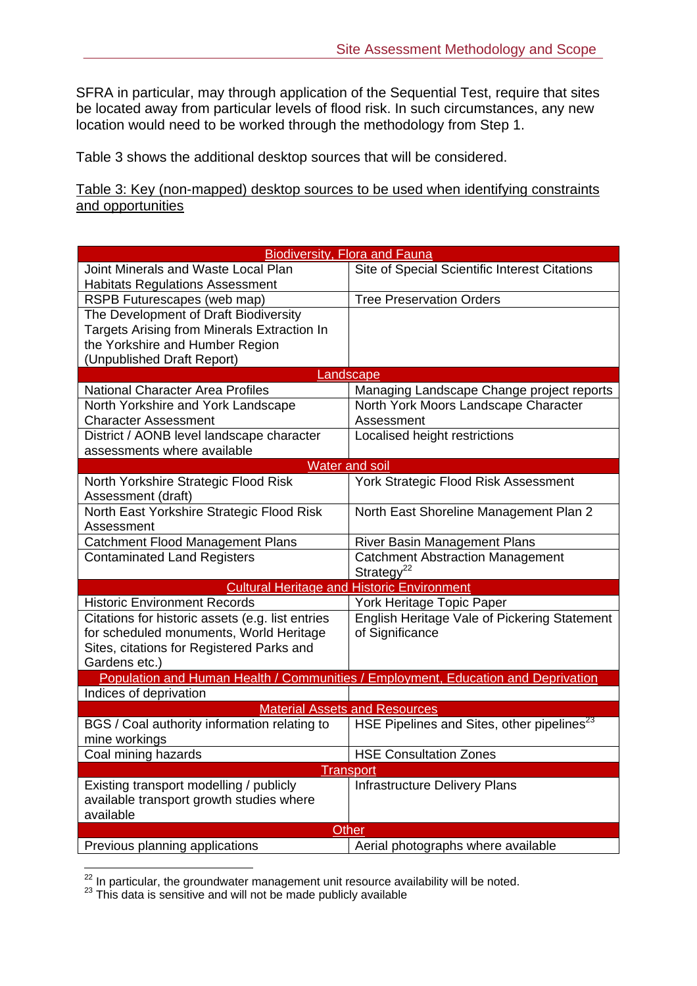SFRA in particular, may through application of the Sequential Test, require that sites be located away from particular levels of flood risk. In such circumstances, any new location would need to be worked through the methodology from Step 1.

Table 3 shows the additional desktop sources that will be considered.

Table 3: Key (non-mapped) desktop sources to be used when identifying constraints and opportunities

| Joint Minerals and Waste Local Plan                                                                                         |  |  |
|-----------------------------------------------------------------------------------------------------------------------------|--|--|
| Site of Special Scientific Interest Citations                                                                               |  |  |
| <b>Habitats Regulations Assessment</b>                                                                                      |  |  |
| <b>Tree Preservation Orders</b><br>RSPB Futurescapes (web map)                                                              |  |  |
| The Development of Draft Biodiversity                                                                                       |  |  |
| Targets Arising from Minerals Extraction In                                                                                 |  |  |
| the Yorkshire and Humber Region                                                                                             |  |  |
| (Unpublished Draft Report)                                                                                                  |  |  |
| Landscape                                                                                                                   |  |  |
| <b>National Character Area Profiles</b><br>Managing Landscape Change project reports                                        |  |  |
| North York Moors Landscape Character<br>North Yorkshire and York Landscape                                                  |  |  |
| <b>Character Assessment</b><br>Assessment                                                                                   |  |  |
| District / AONB level landscape character<br>Localised height restrictions                                                  |  |  |
| assessments where available                                                                                                 |  |  |
| <b>Water and soil</b>                                                                                                       |  |  |
| York Strategic Flood Risk Assessment<br>North Yorkshire Strategic Flood Risk<br>Assessment (draft)                          |  |  |
| North East Yorkshire Strategic Flood Risk<br>North East Shoreline Management Plan 2                                         |  |  |
| Assessment                                                                                                                  |  |  |
| <b>Catchment Flood Management Plans</b><br>River Basin Management Plans                                                     |  |  |
| <b>Catchment Abstraction Management</b><br><b>Contaminated Land Registers</b><br>Strategy <sup>22</sup>                     |  |  |
| <b>Cultural Heritage and Historic Environment</b>                                                                           |  |  |
| <b>Historic Environment Records</b><br>York Heritage Topic Paper                                                            |  |  |
| English Heritage Vale of Pickering Statement<br>Citations for historic assets (e.g. list entries                            |  |  |
| for scheduled monuments, World Heritage<br>of Significance                                                                  |  |  |
| Sites, citations for Registered Parks and                                                                                   |  |  |
| Gardens etc.)                                                                                                               |  |  |
| Population and Human Health / Communities / Employment, Education and Deprivation                                           |  |  |
| Indices of deprivation                                                                                                      |  |  |
| <b>Material Assets and Resources</b>                                                                                        |  |  |
| HSE Pipelines and Sites, other pipelines <sup>23</sup><br>BGS / Coal authority information relating to                      |  |  |
| mine workings                                                                                                               |  |  |
| Coal mining hazards<br><b>HSE Consultation Zones</b>                                                                        |  |  |
| Transport                                                                                                                   |  |  |
| Existing transport modelling / publicly<br><b>Infrastructure Delivery Plans</b><br>available transport growth studies where |  |  |
| available                                                                                                                   |  |  |
| Other                                                                                                                       |  |  |
| Previous planning applications<br>Aerial photographs where available                                                        |  |  |

 $\overline{a}$  $^{22}$  In particular, the groundwater management unit resource availability will be noted.<br> $^{23}$  This data is sensitive and will not be made publicly available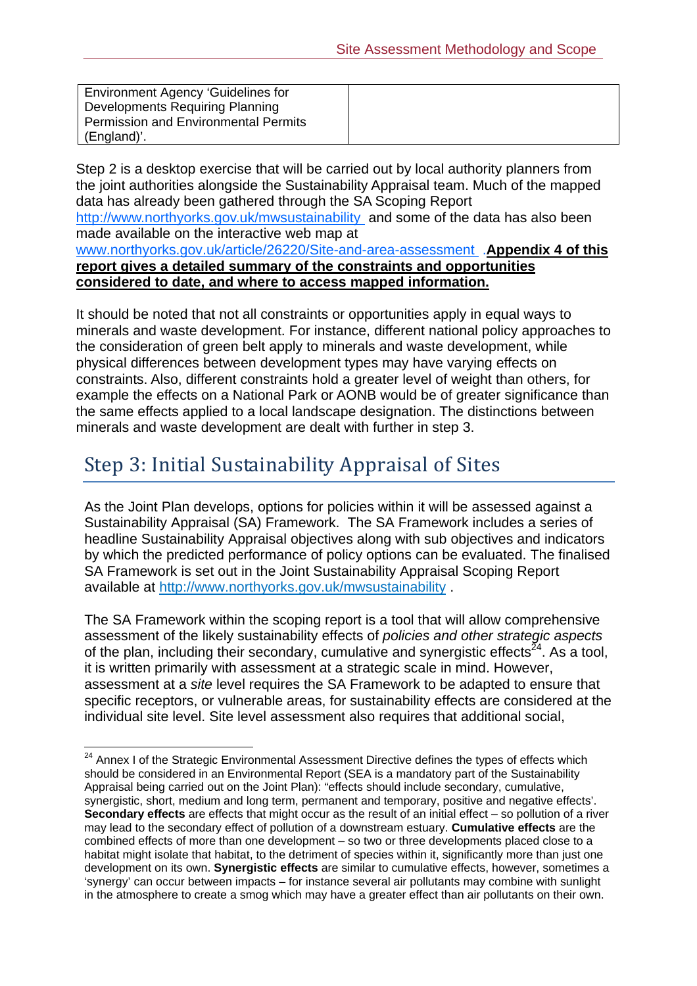| Environment Agency 'Guidelines for          |  |
|---------------------------------------------|--|
| Developments Requiring Planning             |  |
| <b>Permission and Environmental Permits</b> |  |
| (England)'.                                 |  |

Step 2 is a desktop exercise that will be carried out by local authority planners from the joint authorities alongside the Sustainability Appraisal team. Much of the mapped data has already been gathered through the SA Scoping Report http://www.northyorks.gov.uk/mwsustainability and some of the data has also been made available on the interactive web map at www.northyorks.gov.uk/article/26220/Site-and-area-assessment .**Appendix 4 of this report gives a detailed summary of the constraints and opportunities considered to date, and where to access mapped information.** 

It should be noted that not all constraints or opportunities apply in equal ways to minerals and waste development. For instance, different national policy approaches to the consideration of green belt apply to minerals and waste development, while physical differences between development types may have varying effects on constraints. Also, different constraints hold a greater level of weight than others, for example the effects on a National Park or AONB would be of greater significance than the same effects applied to a local landscape designation. The distinctions between minerals and waste development are dealt with further in step 3.

# Step 3: Initial Sustainability Appraisal of Sites

 $\overline{a}$ 

As the Joint Plan develops, options for policies within it will be assessed against a Sustainability Appraisal (SA) Framework. The SA Framework includes a series of headline Sustainability Appraisal objectives along with sub objectives and indicators by which the predicted performance of policy options can be evaluated. The finalised SA Framework is set out in the Joint Sustainability Appraisal Scoping Report available at http://www.northyorks.gov.uk/mwsustainability .

The SA Framework within the scoping report is a tool that will allow comprehensive assessment of the likely sustainability effects of *policies and other strategic aspects* of the plan, including their secondary, cumulative and synergistic effects<sup> $24$ </sup>. As a tool, it is written primarily with assessment at a strategic scale in mind. However, assessment at a *site* level requires the SA Framework to be adapted to ensure that specific receptors, or vulnerable areas, for sustainability effects are considered at the individual site level. Site level assessment also requires that additional social,

<sup>&</sup>lt;sup>24</sup> Annex I of the Strategic Environmental Assessment Directive defines the types of effects which should be considered in an Environmental Report (SEA is a mandatory part of the Sustainability Appraisal being carried out on the Joint Plan): "effects should include secondary, cumulative, synergistic, short, medium and long term, permanent and temporary, positive and negative effects'. **Secondary effects** are effects that might occur as the result of an initial effect – so pollution of a river may lead to the secondary effect of pollution of a downstream estuary. **Cumulative effects** are the combined effects of more than one development – so two or three developments placed close to a habitat might isolate that habitat, to the detriment of species within it, significantly more than just one development on its own. **Synergistic effects** are similar to cumulative effects, however, sometimes a 'synergy' can occur between impacts – for instance several air pollutants may combine with sunlight in the atmosphere to create a smog which may have a greater effect than air pollutants on their own.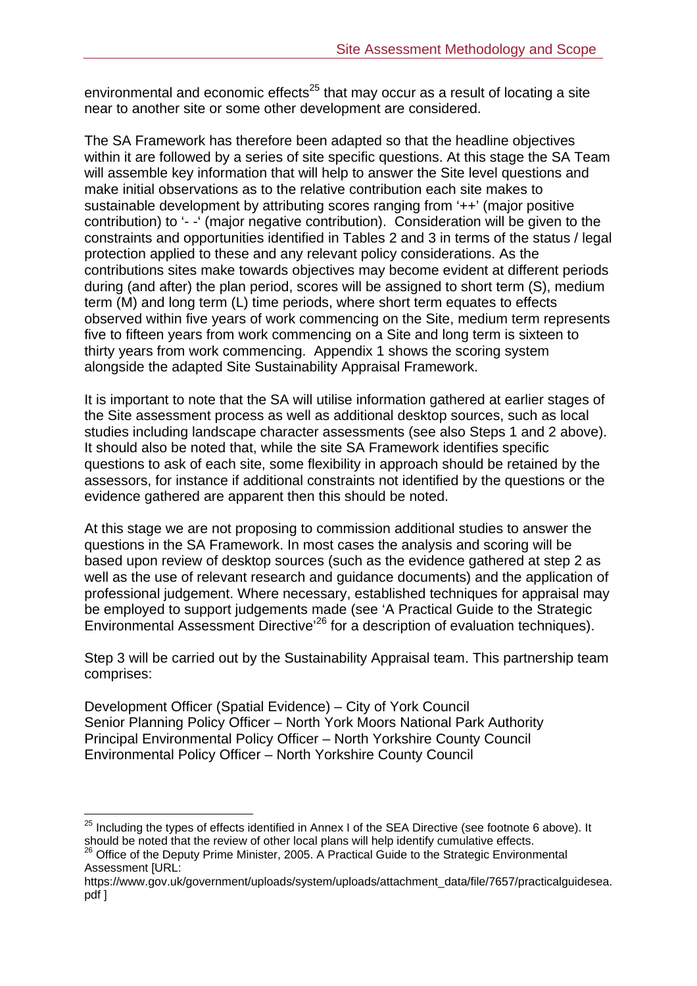environmental and economic effects $25$  that may occur as a result of locating a site near to another site or some other development are considered.

The SA Framework has therefore been adapted so that the headline objectives within it are followed by a series of site specific questions. At this stage the SA Team will assemble key information that will help to answer the Site level questions and make initial observations as to the relative contribution each site makes to sustainable development by attributing scores ranging from '++' (major positive contribution) to '- -' (major negative contribution). Consideration will be given to the constraints and opportunities identified in Tables 2 and 3 in terms of the status / legal protection applied to these and any relevant policy considerations. As the contributions sites make towards objectives may become evident at different periods during (and after) the plan period, scores will be assigned to short term (S), medium term (M) and long term (L) time periods, where short term equates to effects observed within five years of work commencing on the Site, medium term represents five to fifteen years from work commencing on a Site and long term is sixteen to thirty years from work commencing. Appendix 1 shows the scoring system alongside the adapted Site Sustainability Appraisal Framework.

It is important to note that the SA will utilise information gathered at earlier stages of the Site assessment process as well as additional desktop sources, such as local studies including landscape character assessments (see also Steps 1 and 2 above). It should also be noted that, while the site SA Framework identifies specific questions to ask of each site, some flexibility in approach should be retained by the assessors, for instance if additional constraints not identified by the questions or the evidence gathered are apparent then this should be noted.

At this stage we are not proposing to commission additional studies to answer the questions in the SA Framework. In most cases the analysis and scoring will be based upon review of desktop sources (such as the evidence gathered at step 2 as well as the use of relevant research and guidance documents) and the application of professional judgement. Where necessary, established techniques for appraisal may be employed to support judgements made (see 'A Practical Guide to the Strategic Environmental Assessment Directive'26 for a description of evaluation techniques).

Step 3 will be carried out by the Sustainability Appraisal team. This partnership team comprises:

Development Officer (Spatial Evidence) – City of York Council Senior Planning Policy Officer – North York Moors National Park Authority Principal Environmental Policy Officer – North Yorkshire County Council Environmental Policy Officer – North Yorkshire County Council

 $\overline{a}$  $^{25}$  Including the types of effects identified in Annex I of the SEA Directive (see footnote 6 above). It should be noted that the review of other local plans will help identify cumulative effects.<br><sup>26</sup> Office of the Deputy Prime Minister, 2005. A Practical Guide to the Strategic Environmental

Assessment [URL:

https://www.gov.uk/government/uploads/system/uploads/attachment\_data/file/7657/practicalguidesea. pdf ]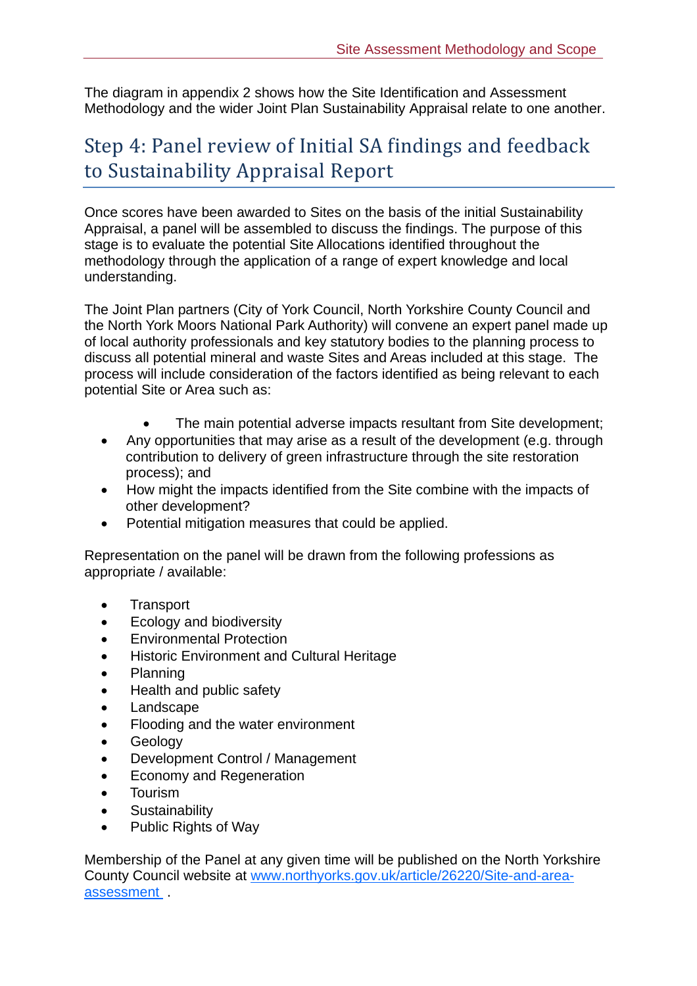The diagram in appendix 2 shows how the Site Identification and Assessment Methodology and the wider Joint Plan Sustainability Appraisal relate to one another.

# Step 4: Panel review of Initial SA findings and feedback to Sustainability Appraisal Report

Once scores have been awarded to Sites on the basis of the initial Sustainability Appraisal, a panel will be assembled to discuss the findings. The purpose of this stage is to evaluate the potential Site Allocations identified throughout the methodology through the application of a range of expert knowledge and local understanding.

The Joint Plan partners (City of York Council, North Yorkshire County Council and the North York Moors National Park Authority) will convene an expert panel made up of local authority professionals and key statutory bodies to the planning process to discuss all potential mineral and waste Sites and Areas included at this stage. The process will include consideration of the factors identified as being relevant to each potential Site or Area such as:

- The main potential adverse impacts resultant from Site development;
- Any opportunities that may arise as a result of the development (e.g. through contribution to delivery of green infrastructure through the site restoration process); and
- How might the impacts identified from the Site combine with the impacts of other development?
- Potential mitigation measures that could be applied.

Representation on the panel will be drawn from the following professions as appropriate / available:

- Transport
- **Ecology and biodiversity**
- **Environmental Protection**
- **Historic Environment and Cultural Heritage**
- Planning
- Health and public safety
- Landscape
- Flooding and the water environment
- **•** Geology
- Development Control / Management
- Economy and Regeneration
- **•** Tourism
- **•** Sustainability
- Public Rights of Way

Membership of the Panel at any given time will be published on the North Yorkshire County Council website at www.northyorks.gov.uk/article/26220/Site-and-areaassessment .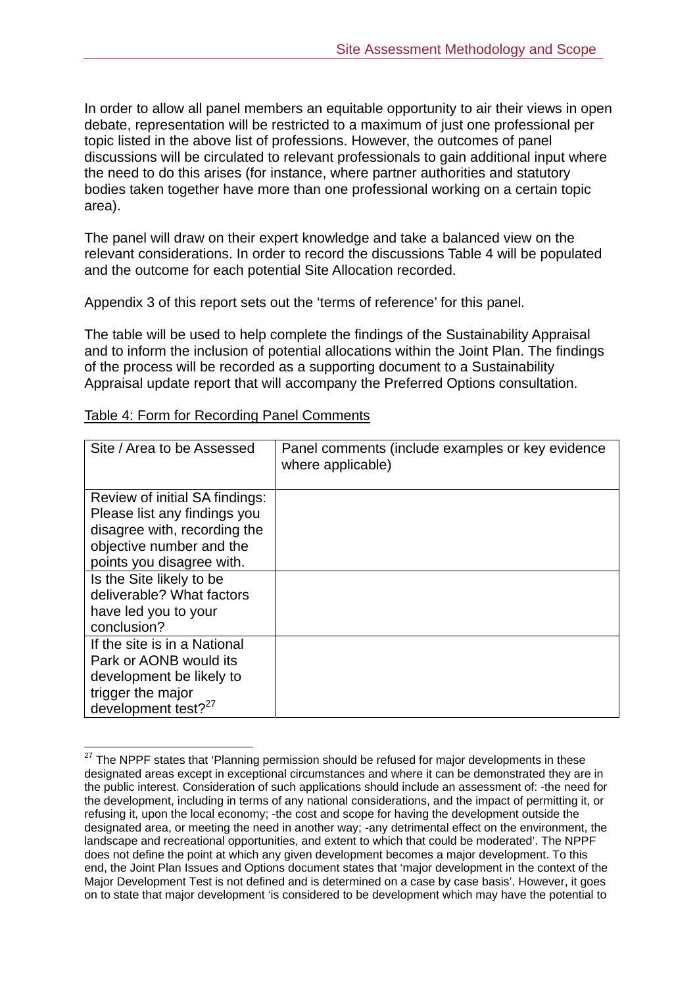In order to allow all panel members an equitable opportunity to air their views in open debate, representation will be restricted to a maximum of just one professional per topic listed in the above list of professions. However, the outcomes of panel discussions will be circulated to relevant professionals to gain additional input where the need to do this arises (for instance, where partner authorities and statutory bodies taken together have more than one professional working on a certain topic area).

The panel will draw on their expert knowledge and take a balanced view on the relevant considerations. In order to record the discussions Table 4 will be populated and the outcome for each potential Site Allocation recorded.

Appendix 3 of this report sets out the 'terms of reference' for this panel.

The table will be used to help complete the findings of the Sustainability Appraisal and to inform the inclusion of potential allocations within the Joint Plan. The findings of the process will be recorded as a supporting document to a Sustainability Appraisal update report that will accompany the Preferred Options consultation.

| Site / Area to be Assessed                                                                                                                              | Panel comments (include examples or key evidence<br>where applicable) |
|---------------------------------------------------------------------------------------------------------------------------------------------------------|-----------------------------------------------------------------------|
| Review of initial SA findings:<br>Please list any findings you<br>disagree with, recording the<br>objective number and the<br>points you disagree with. |                                                                       |
| Is the Site likely to be<br>deliverable? What factors<br>have led you to your<br>conclusion?                                                            |                                                                       |
| If the site is in a National<br>Park or AONB would its<br>development be likely to<br>trigger the major<br>development test? <sup>27</sup>              |                                                                       |

#### Table 4: Form for Recording Panel Comments

 $\overline{a}$ 

 $27$  The NPPF states that 'Planning permission should be refused for major developments in these designated areas except in exceptional circumstances and where it can be demonstrated they are in the public interest. Consideration of such applications should include an assessment of: -the need for the development, including in terms of any national considerations, and the impact of permitting it, or refusing it, upon the local economy; -the cost and scope for having the development outside the designated area, or meeting the need in another way; -any detrimental effect on the environment, the landscape and recreational opportunities, and extent to which that could be moderated'. The NPPF does not define the point at which any given development becomes a major development. To this end, the Joint Plan Issues and Options document states that 'major development in the context of the Major Development Test is not defined and is determined on a case by case basis'. However, it goes on to state that major development 'is considered to be development which may have the potential to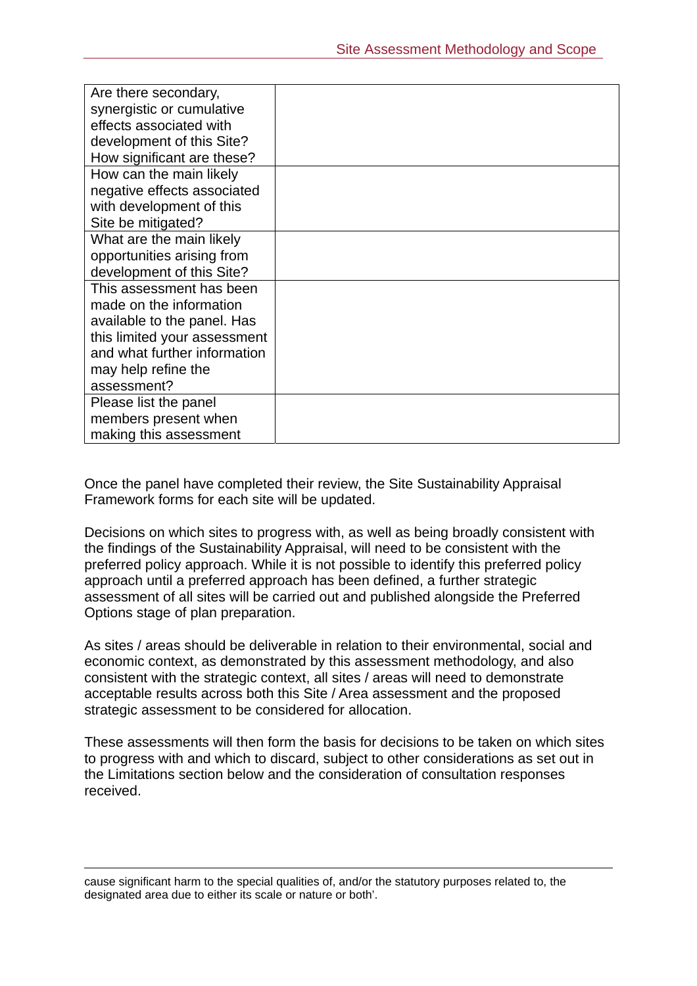| Are there secondary,         |  |
|------------------------------|--|
| synergistic or cumulative    |  |
| effects associated with      |  |
| development of this Site?    |  |
| How significant are these?   |  |
| How can the main likely      |  |
| negative effects associated  |  |
| with development of this     |  |
| Site be mitigated?           |  |
| What are the main likely     |  |
| opportunities arising from   |  |
| development of this Site?    |  |
| This assessment has been     |  |
| made on the information      |  |
| available to the panel. Has  |  |
| this limited your assessment |  |
| and what further information |  |
| may help refine the          |  |
| assessment?                  |  |
| Please list the panel        |  |
| members present when         |  |
| making this assessment       |  |

Once the panel have completed their review, the Site Sustainability Appraisal Framework forms for each site will be updated.

Decisions on which sites to progress with, as well as being broadly consistent with the findings of the Sustainability Appraisal, will need to be consistent with the preferred policy approach. While it is not possible to identify this preferred policy approach until a preferred approach has been defined, a further strategic assessment of all sites will be carried out and published alongside the Preferred Options stage of plan preparation.

As sites / areas should be deliverable in relation to their environmental, social and economic context, as demonstrated by this assessment methodology, and also consistent with the strategic context, all sites / areas will need to demonstrate acceptable results across both this Site / Area assessment and the proposed strategic assessment to be considered for allocation.

These assessments will then form the basis for decisions to be taken on which sites to progress with and which to discard, subject to other considerations as set out in the Limitations section below and the consideration of consultation responses received.

 cause significant harm to the special qualities of, and/or the statutory purposes related to, the designated area due to either its scale or nature or both'.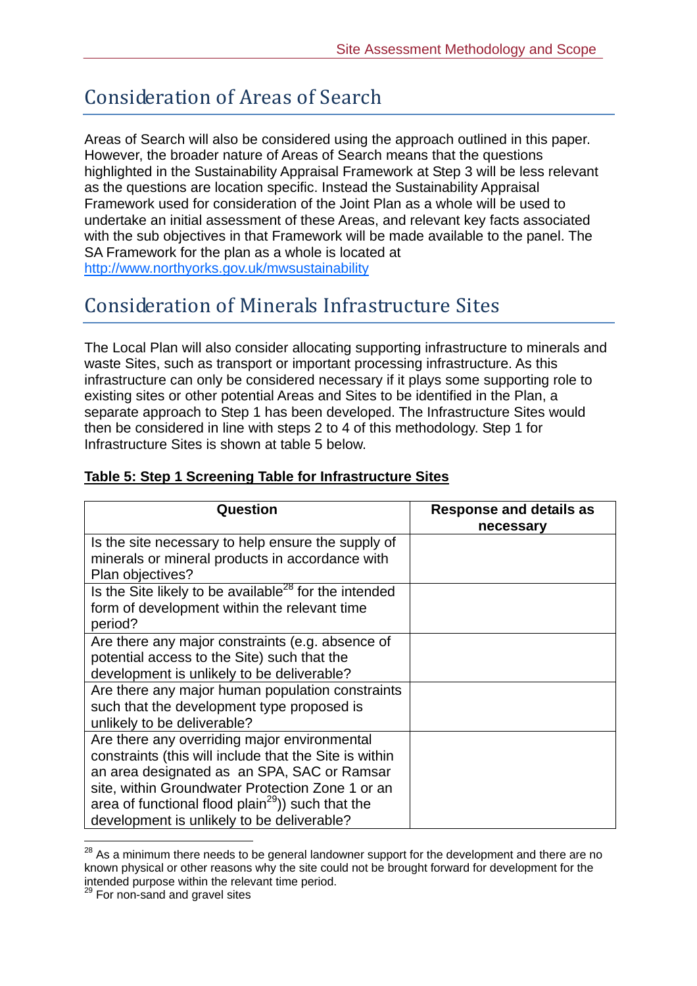## Consideration of Areas of Search

Areas of Search will also be considered using the approach outlined in this paper. However, the broader nature of Areas of Search means that the questions highlighted in the Sustainability Appraisal Framework at Step 3 will be less relevant as the questions are location specific. Instead the Sustainability Appraisal Framework used for consideration of the Joint Plan as a whole will be used to undertake an initial assessment of these Areas, and relevant key facts associated with the sub objectives in that Framework will be made available to the panel. The SA Framework for the plan as a whole is located at http://www.northyorks.gov.uk/mwsustainability

### Consideration of Minerals Infrastructure Sites

The Local Plan will also consider allocating supporting infrastructure to minerals and waste Sites, such as transport or important processing infrastructure. As this infrastructure can only be considered necessary if it plays some supporting role to existing sites or other potential Areas and Sites to be identified in the Plan, a separate approach to Step 1 has been developed. The Infrastructure Sites would then be considered in line with steps 2 to 4 of this methodology. Step 1 for Infrastructure Sites is shown at table 5 below.

| Question                                                      | <b>Response and details as</b><br>necessary |
|---------------------------------------------------------------|---------------------------------------------|
| Is the site necessary to help ensure the supply of            |                                             |
| minerals or mineral products in accordance with               |                                             |
| Plan objectives?                                              |                                             |
| Is the Site likely to be available $^{28}$ for the intended   |                                             |
| form of development within the relevant time                  |                                             |
| period?                                                       |                                             |
| Are there any major constraints (e.g. absence of              |                                             |
| potential access to the Site) such that the                   |                                             |
| development is unlikely to be deliverable?                    |                                             |
| Are there any major human population constraints              |                                             |
| such that the development type proposed is                    |                                             |
| unlikely to be deliverable?                                   |                                             |
| Are there any overriding major environmental                  |                                             |
| constraints (this will include that the Site is within        |                                             |
| an area designated as an SPA, SAC or Ramsar                   |                                             |
| site, within Groundwater Protection Zone 1 or an              |                                             |
| area of functional flood plain <sup>29</sup> )) such that the |                                             |
| development is unlikely to be deliverable?                    |                                             |

#### **Table 5: Step 1 Screening Table for Infrastructure Sites**

 $\overline{a}$ 

 $^{28}$  As a minimum there needs to be general landowner support for the development and there are no known physical or other reasons why the site could not be brought forward for development for the intended purpose within the relevant time period.

<sup>&</sup>lt;sup>29</sup> For non-sand and gravel sites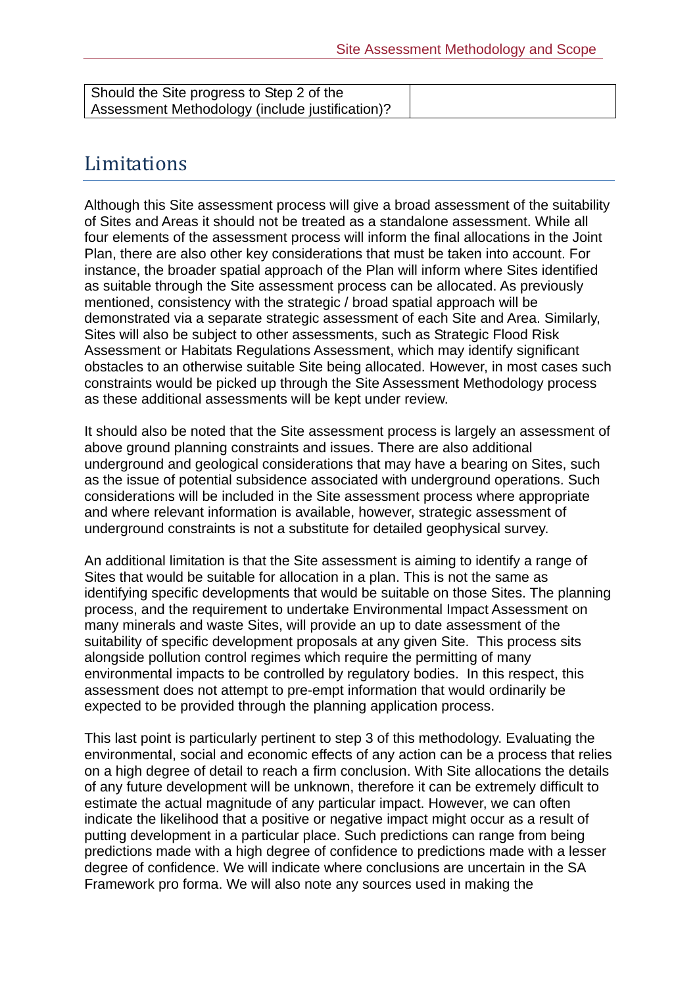| Should the Site progress to Step 2 of the       |  |
|-------------------------------------------------|--|
| Assessment Methodology (include justification)? |  |

### Limitations

Although this Site assessment process will give a broad assessment of the suitability of Sites and Areas it should not be treated as a standalone assessment. While all four elements of the assessment process will inform the final allocations in the Joint Plan, there are also other key considerations that must be taken into account. For instance, the broader spatial approach of the Plan will inform where Sites identified as suitable through the Site assessment process can be allocated. As previously mentioned, consistency with the strategic / broad spatial approach will be demonstrated via a separate strategic assessment of each Site and Area. Similarly, Sites will also be subject to other assessments, such as Strategic Flood Risk Assessment or Habitats Regulations Assessment, which may identify significant obstacles to an otherwise suitable Site being allocated. However, in most cases such constraints would be picked up through the Site Assessment Methodology process as these additional assessments will be kept under review.

It should also be noted that the Site assessment process is largely an assessment of above ground planning constraints and issues. There are also additional underground and geological considerations that may have a bearing on Sites, such as the issue of potential subsidence associated with underground operations. Such considerations will be included in the Site assessment process where appropriate and where relevant information is available, however, strategic assessment of underground constraints is not a substitute for detailed geophysical survey.

An additional limitation is that the Site assessment is aiming to identify a range of Sites that would be suitable for allocation in a plan. This is not the same as identifying specific developments that would be suitable on those Sites. The planning process, and the requirement to undertake Environmental Impact Assessment on many minerals and waste Sites, will provide an up to date assessment of the suitability of specific development proposals at any given Site. This process sits alongside pollution control regimes which require the permitting of many environmental impacts to be controlled by regulatory bodies. In this respect, this assessment does not attempt to pre-empt information that would ordinarily be expected to be provided through the planning application process.

This last point is particularly pertinent to step 3 of this methodology. Evaluating the environmental, social and economic effects of any action can be a process that relies on a high degree of detail to reach a firm conclusion. With Site allocations the details of any future development will be unknown, therefore it can be extremely difficult to estimate the actual magnitude of any particular impact. However, we can often indicate the likelihood that a positive or negative impact might occur as a result of putting development in a particular place. Such predictions can range from being predictions made with a high degree of confidence to predictions made with a lesser degree of confidence. We will indicate where conclusions are uncertain in the SA Framework pro forma. We will also note any sources used in making the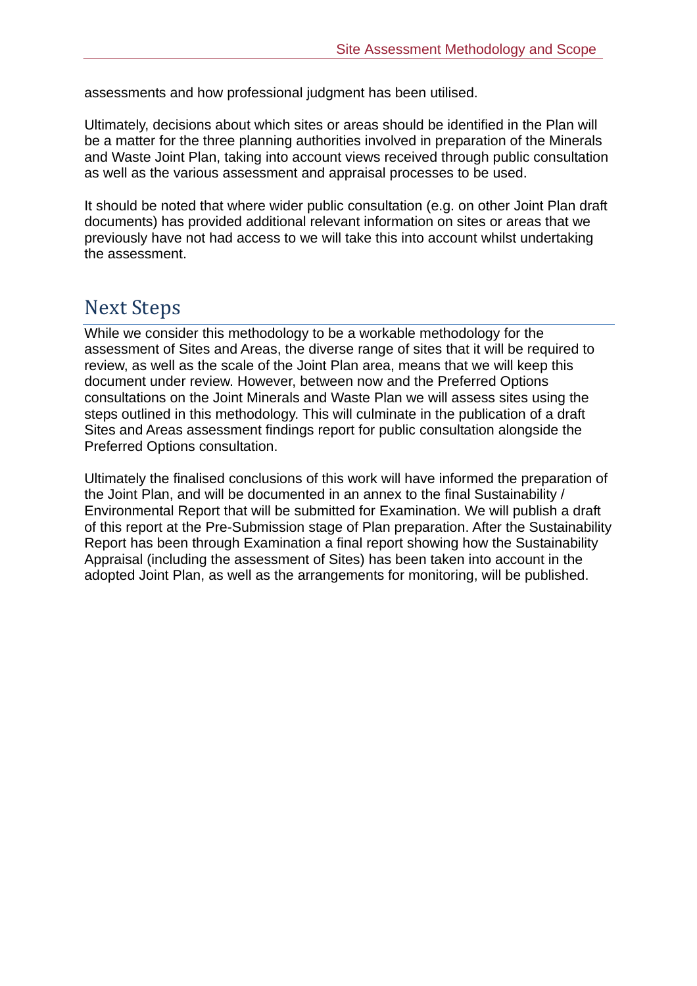assessments and how professional judgment has been utilised.

Ultimately, decisions about which sites or areas should be identified in the Plan will be a matter for the three planning authorities involved in preparation of the Minerals and Waste Joint Plan, taking into account views received through public consultation as well as the various assessment and appraisal processes to be used.

It should be noted that where wider public consultation (e.g. on other Joint Plan draft documents) has provided additional relevant information on sites or areas that we previously have not had access to we will take this into account whilst undertaking the assessment.

### **Next Steps**

While we consider this methodology to be a workable methodology for the assessment of Sites and Areas, the diverse range of sites that it will be required to review, as well as the scale of the Joint Plan area, means that we will keep this document under review. However, between now and the Preferred Options consultations on the Joint Minerals and Waste Plan we will assess sites using the steps outlined in this methodology. This will culminate in the publication of a draft Sites and Areas assessment findings report for public consultation alongside the Preferred Options consultation.

Ultimately the finalised conclusions of this work will have informed the preparation of the Joint Plan, and will be documented in an annex to the final Sustainability / Environmental Report that will be submitted for Examination. We will publish a draft of this report at the Pre-Submission stage of Plan preparation. After the Sustainability Report has been through Examination a final report showing how the Sustainability Appraisal (including the assessment of Sites) has been taken into account in the adopted Joint Plan, as well as the arrangements for monitoring, will be published.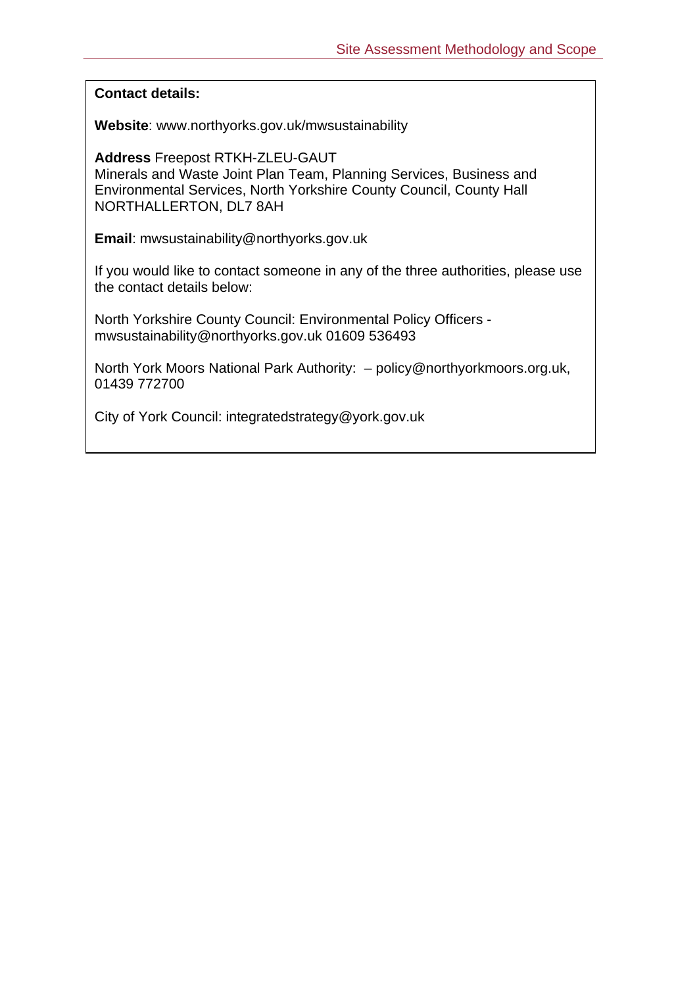**Contact details:** 

**Website**: www.northyorks.gov.uk/mwsustainability

**Address** Freepost RTKH-ZLEU-GAUT Minerals and Waste Joint Plan Team, Planning Services, Business and Environmental Services, North Yorkshire County Council, County Hall NORTHALLERTON, DL7 8AH

**Email**: mwsustainability@northyorks.gov.uk

If you would like to contact someone in any of the three authorities, please use the contact details below:

North Yorkshire County Council: Environmental Policy Officers mwsustainability@northyorks.gov.uk 01609 536493

North York Moors National Park Authority: – policy@northyorkmoors.org.uk, 01439 772700

City of York Council: integratedstrategy@york.gov.uk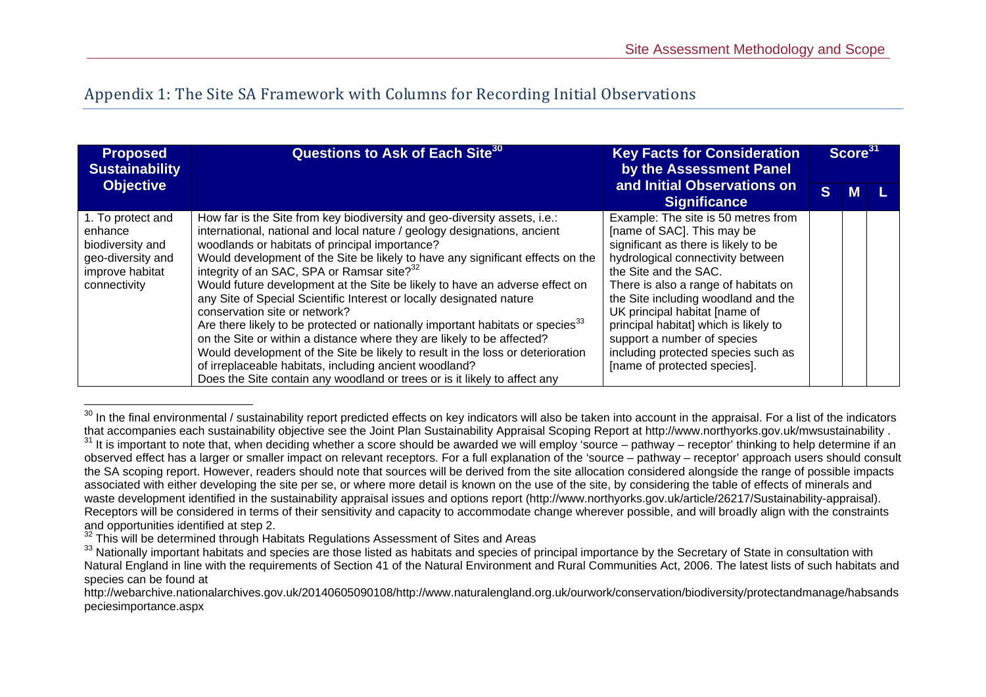### Appendix 1: The Site SA Framework with Columns for Recording Initial Observations

| <b>Proposed</b><br><b>Sustainability</b>                                                                 | Questions to Ask of Each Site <sup>30</sup>                                                                                                                                                                                                                                                                                                                                                                                                                                                                                                                                                                                                                                                                                                                                                                                                                                                                                                  | <b>Key Facts for Consideration</b><br>by the Assessment Panel                                                                                                                                                                                                                                                                                                                                                                          |              | Score <sup>31</sup> |  |
|----------------------------------------------------------------------------------------------------------|----------------------------------------------------------------------------------------------------------------------------------------------------------------------------------------------------------------------------------------------------------------------------------------------------------------------------------------------------------------------------------------------------------------------------------------------------------------------------------------------------------------------------------------------------------------------------------------------------------------------------------------------------------------------------------------------------------------------------------------------------------------------------------------------------------------------------------------------------------------------------------------------------------------------------------------------|----------------------------------------------------------------------------------------------------------------------------------------------------------------------------------------------------------------------------------------------------------------------------------------------------------------------------------------------------------------------------------------------------------------------------------------|--------------|---------------------|--|
| <b>Objective</b><br><b>Significance</b>                                                                  |                                                                                                                                                                                                                                                                                                                                                                                                                                                                                                                                                                                                                                                                                                                                                                                                                                                                                                                                              | and Initial Observations on                                                                                                                                                                                                                                                                                                                                                                                                            | <sub>S</sub> | <b>M</b>            |  |
| 1. To protect and<br>enhance<br>biodiversity and<br>geo-diversity and<br>improve habitat<br>connectivity | How far is the Site from key biodiversity and geo-diversity assets, i.e.:<br>international, national and local nature / geology designations, ancient<br>woodlands or habitats of principal importance?<br>Would development of the Site be likely to have any significant effects on the<br>integrity of an SAC, SPA or Ramsar site? <sup>32</sup><br>Would future development at the Site be likely to have an adverse effect on<br>any Site of Special Scientific Interest or locally designated nature<br>conservation site or network?<br>Are there likely to be protected or nationally important habitats or species <sup>33</sup><br>on the Site or within a distance where they are likely to be affected?<br>Would development of the Site be likely to result in the loss or deterioration<br>of irreplaceable habitats, including ancient woodland?<br>Does the Site contain any woodland or trees or is it likely to affect any | Example: The site is 50 metres from<br>[name of SAC]. This may be<br>significant as there is likely to be<br>hydrological connectivity between<br>the Site and the SAC.<br>There is also a range of habitats on<br>the Site including woodland and the<br>UK principal habitat [name of<br>principal habitat] which is likely to<br>support a number of species<br>including protected species such as<br>[name of protected species]. |              |                     |  |

<sup>&</sup>lt;sup>30</sup> In the final environmental / sustainability report predicted effects on key indicators will also be taken into account in the appraisal. For a list of the indicators that accompanies each sustainability objective see

<sup>31</sup> It is important to note that, when deciding whether a score should be awarded we will employ 'source – pathway – receptor' thinking to help determine if an observed effect has a larger or smaller impact on relevant receptors. For a full explanation of the 'source – pathway – receptor' approach users should consult the SA scoping report. However, readers should note that sources will be derived from the site allocation considered alongside the range of possible impacts associated with either developing the site per se, or where more detail is known on the use of the site, by considering the table of effects of minerals and waste development identified in the sustainability appraisal issues and options report (http://www.northyorks.gov.uk/article/26217/Sustainability-appraisal). Receptors will be considered in terms of their sensitivity and capacity to accommodate change wherever possible, and will broadly align with the constraints and opportunities identified at step 2.<br><sup>32</sup> This will be determined through Habitats Regulations Assessment of Sites and Areas<br><sup>33</sup> Nationally important habitats and species are those listed as habitats and species of pri

Natural England in line with the requirements of Section 41 of the Natural Environment and Rural Communities Act, 2006. The latest lists of such habitats and species can be found at

http://webarchive.nationalarchives.gov.uk/20140605090108/http://www.naturalengland.org.uk/ourwork/conservation/biodiversity/protectandmanage/habsands peciesimportance.aspx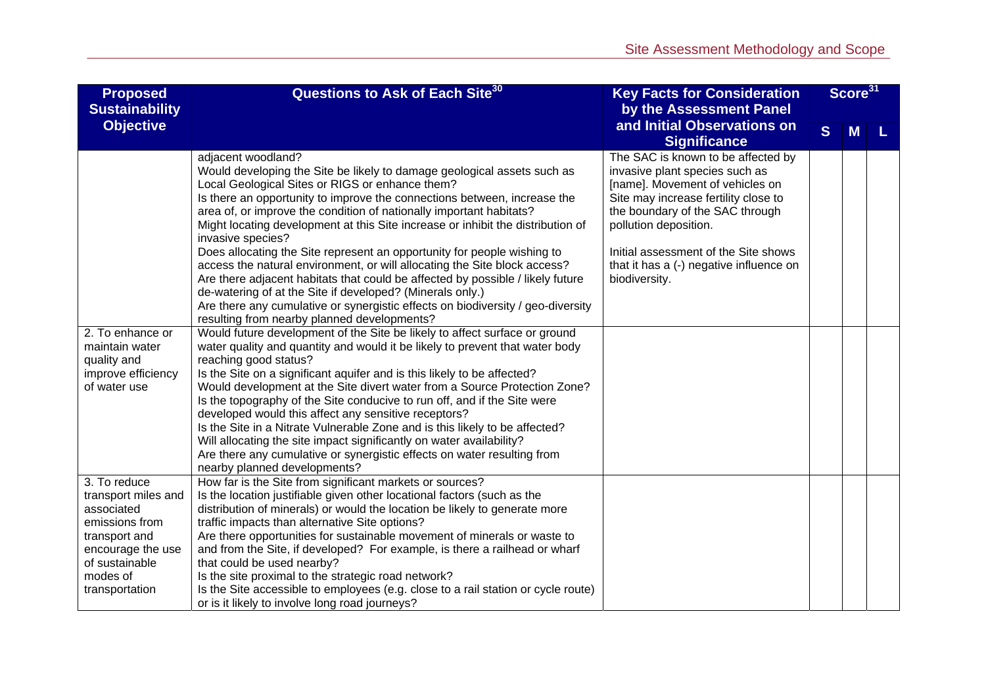| <b>Proposed</b><br><b>Sustainability</b>                                                                                                                  | Questions to Ask of Each Site <sup>30</sup><br><b>Key Facts for Consideration</b><br>by the Assessment Panel                                                                                                                                                                                                                                                                                                                                                                                                                                                                                                                                                                                                                                                                                                                                                                                                                                                                                                                                                                                                                                                                                                                                                                                                                                                                                                           |                                                                                                                                                                                                                                                                                                                 |   | Score <sup>31</sup> |   |
|-----------------------------------------------------------------------------------------------------------------------------------------------------------|------------------------------------------------------------------------------------------------------------------------------------------------------------------------------------------------------------------------------------------------------------------------------------------------------------------------------------------------------------------------------------------------------------------------------------------------------------------------------------------------------------------------------------------------------------------------------------------------------------------------------------------------------------------------------------------------------------------------------------------------------------------------------------------------------------------------------------------------------------------------------------------------------------------------------------------------------------------------------------------------------------------------------------------------------------------------------------------------------------------------------------------------------------------------------------------------------------------------------------------------------------------------------------------------------------------------------------------------------------------------------------------------------------------------|-----------------------------------------------------------------------------------------------------------------------------------------------------------------------------------------------------------------------------------------------------------------------------------------------------------------|---|---------------------|---|
| <b>Objective</b>                                                                                                                                          |                                                                                                                                                                                                                                                                                                                                                                                                                                                                                                                                                                                                                                                                                                                                                                                                                                                                                                                                                                                                                                                                                                                                                                                                                                                                                                                                                                                                                        | and Initial Observations on<br><b>Significance</b>                                                                                                                                                                                                                                                              | S | M                   | L |
| 2. To enhance or<br>maintain water<br>quality and<br>improve efficiency<br>of water use                                                                   | adjacent woodland?<br>Would developing the Site be likely to damage geological assets such as<br>Local Geological Sites or RIGS or enhance them?<br>Is there an opportunity to improve the connections between, increase the<br>area of, or improve the condition of nationally important habitats?<br>Might locating development at this Site increase or inhibit the distribution of<br>invasive species?<br>Does allocating the Site represent an opportunity for people wishing to<br>access the natural environment, or will allocating the Site block access?<br>Are there adjacent habitats that could be affected by possible / likely future<br>de-watering of at the Site if developed? (Minerals only.)<br>Are there any cumulative or synergistic effects on biodiversity / geo-diversity<br>resulting from nearby planned developments?<br>Would future development of the Site be likely to affect surface or ground<br>water quality and quantity and would it be likely to prevent that water body<br>reaching good status?<br>Is the Site on a significant aquifer and is this likely to be affected?<br>Would development at the Site divert water from a Source Protection Zone?<br>Is the topography of the Site conducive to run off, and if the Site were<br>developed would this affect any sensitive receptors?<br>Is the Site in a Nitrate Vulnerable Zone and is this likely to be affected? | The SAC is known to be affected by<br>invasive plant species such as<br>[name]. Movement of vehicles on<br>Site may increase fertility close to<br>the boundary of the SAC through<br>pollution deposition.<br>Initial assessment of the Site shows<br>that it has a (-) negative influence on<br>biodiversity. |   |                     |   |
|                                                                                                                                                           | Will allocating the site impact significantly on water availability?<br>Are there any cumulative or synergistic effects on water resulting from<br>nearby planned developments?                                                                                                                                                                                                                                                                                                                                                                                                                                                                                                                                                                                                                                                                                                                                                                                                                                                                                                                                                                                                                                                                                                                                                                                                                                        |                                                                                                                                                                                                                                                                                                                 |   |                     |   |
| 3. To reduce<br>transport miles and<br>associated<br>emissions from<br>transport and<br>encourage the use<br>of sustainable<br>modes of<br>transportation | How far is the Site from significant markets or sources?<br>Is the location justifiable given other locational factors (such as the<br>distribution of minerals) or would the location be likely to generate more<br>traffic impacts than alternative Site options?<br>Are there opportunities for sustainable movement of minerals or waste to<br>and from the Site, if developed? For example, is there a railhead or wharf<br>that could be used nearby?<br>Is the site proximal to the strategic road network?<br>Is the Site accessible to employees (e.g. close to a rail station or cycle route)<br>or is it likely to involve long road journeys?                                                                                                                                                                                                                                                                                                                                                                                                                                                                                                                                                                                                                                                                                                                                                              |                                                                                                                                                                                                                                                                                                                 |   |                     |   |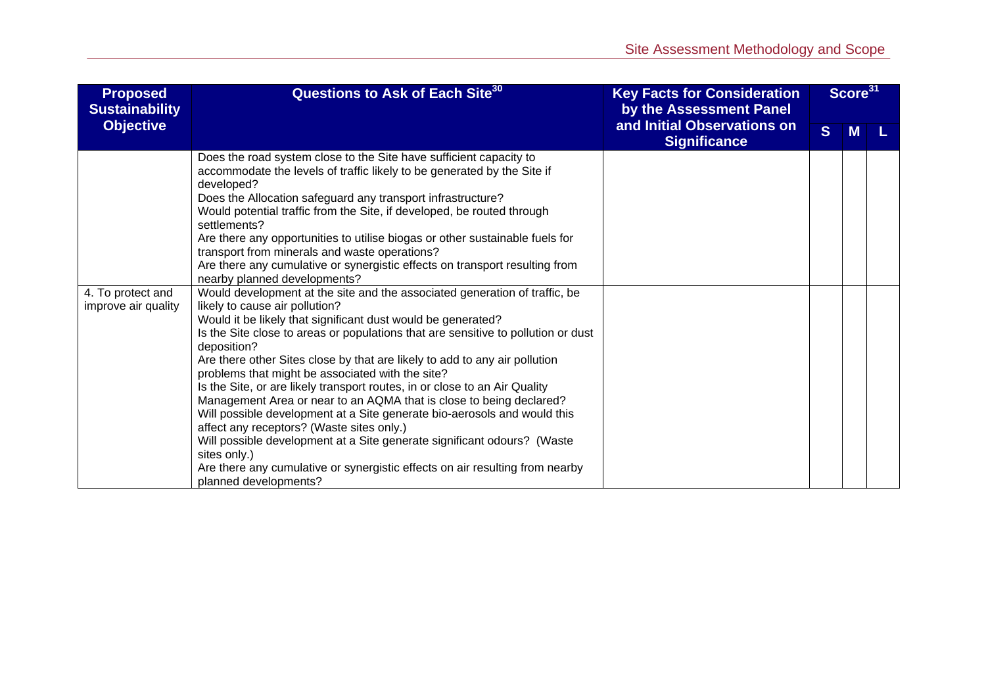| <b>Proposed</b><br><b>Sustainability</b> | Questions to Ask of Each Site <sup>30</sup><br><b>Key Facts for Consideration</b><br>by the Assessment Panel                                                                                                                                                                                                                                                                                                                                                                                                                                                                                                                                                                                                                                                                                                                                                                                                                                                                                                                                                                                                                                                                                                                                                                                                                                                                                                                                                                 |                                                    | Score <sup>31</sup> |   |  |
|------------------------------------------|------------------------------------------------------------------------------------------------------------------------------------------------------------------------------------------------------------------------------------------------------------------------------------------------------------------------------------------------------------------------------------------------------------------------------------------------------------------------------------------------------------------------------------------------------------------------------------------------------------------------------------------------------------------------------------------------------------------------------------------------------------------------------------------------------------------------------------------------------------------------------------------------------------------------------------------------------------------------------------------------------------------------------------------------------------------------------------------------------------------------------------------------------------------------------------------------------------------------------------------------------------------------------------------------------------------------------------------------------------------------------------------------------------------------------------------------------------------------------|----------------------------------------------------|---------------------|---|--|
| <b>Objective</b>                         |                                                                                                                                                                                                                                                                                                                                                                                                                                                                                                                                                                                                                                                                                                                                                                                                                                                                                                                                                                                                                                                                                                                                                                                                                                                                                                                                                                                                                                                                              | and Initial Observations on<br><b>Significance</b> | S                   | M |  |
| 4. To protect and<br>improve air quality | Does the road system close to the Site have sufficient capacity to<br>accommodate the levels of traffic likely to be generated by the Site if<br>developed?<br>Does the Allocation safeguard any transport infrastructure?<br>Would potential traffic from the Site, if developed, be routed through<br>settlements?<br>Are there any opportunities to utilise biogas or other sustainable fuels for<br>transport from minerals and waste operations?<br>Are there any cumulative or synergistic effects on transport resulting from<br>nearby planned developments?<br>Would development at the site and the associated generation of traffic, be<br>likely to cause air pollution?<br>Would it be likely that significant dust would be generated?<br>Is the Site close to areas or populations that are sensitive to pollution or dust<br>deposition?<br>Are there other Sites close by that are likely to add to any air pollution<br>problems that might be associated with the site?<br>Is the Site, or are likely transport routes, in or close to an Air Quality<br>Management Area or near to an AQMA that is close to being declared?<br>Will possible development at a Site generate bio-aerosols and would this<br>affect any receptors? (Waste sites only.)<br>Will possible development at a Site generate significant odours? (Waste<br>sites only.)<br>Are there any cumulative or synergistic effects on air resulting from nearby<br>planned developments? |                                                    |                     |   |  |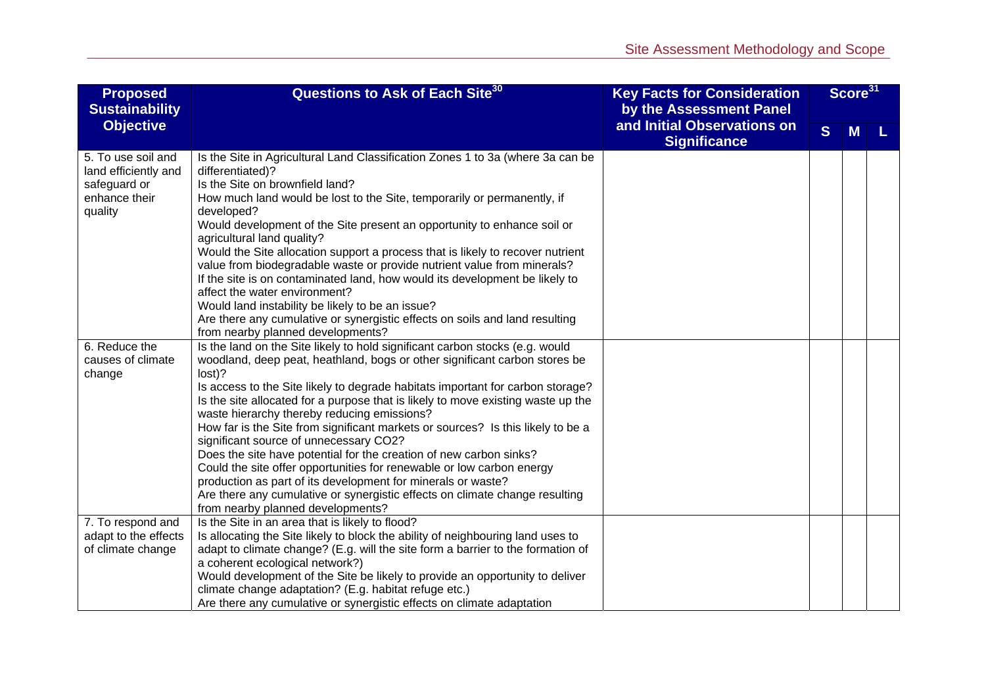| <b>Proposed</b><br><b>Sustainability</b>                                               | Questions to Ask of Each Site <sup>30</sup><br><b>Key Facts for Consideration</b><br>by the Assessment Panel                                                                                                                                                                                                                                                                                                                                                                                                                                                                                                                                                                                                                                                                                                                                                                                   |                                                    | Score <sup>31</sup> |   |  |
|----------------------------------------------------------------------------------------|------------------------------------------------------------------------------------------------------------------------------------------------------------------------------------------------------------------------------------------------------------------------------------------------------------------------------------------------------------------------------------------------------------------------------------------------------------------------------------------------------------------------------------------------------------------------------------------------------------------------------------------------------------------------------------------------------------------------------------------------------------------------------------------------------------------------------------------------------------------------------------------------|----------------------------------------------------|---------------------|---|--|
| <b>Objective</b>                                                                       |                                                                                                                                                                                                                                                                                                                                                                                                                                                                                                                                                                                                                                                                                                                                                                                                                                                                                                | and Initial Observations on<br><b>Significance</b> | S                   | M |  |
| 5. To use soil and<br>land efficiently and<br>safeguard or<br>enhance their<br>quality | Is the Site in Agricultural Land Classification Zones 1 to 3a (where 3a can be<br>differentiated)?<br>Is the Site on brownfield land?<br>How much land would be lost to the Site, temporarily or permanently, if<br>developed?<br>Would development of the Site present an opportunity to enhance soil or<br>agricultural land quality?<br>Would the Site allocation support a process that is likely to recover nutrient<br>value from biodegradable waste or provide nutrient value from minerals?<br>If the site is on contaminated land, how would its development be likely to<br>affect the water environment?<br>Would land instability be likely to be an issue?<br>Are there any cumulative or synergistic effects on soils and land resulting                                                                                                                                        |                                                    |                     |   |  |
| 6. Reduce the<br>causes of climate<br>change                                           | from nearby planned developments?<br>Is the land on the Site likely to hold significant carbon stocks (e.g. would<br>woodland, deep peat, heathland, bogs or other significant carbon stores be<br>lost)?<br>Is access to the Site likely to degrade habitats important for carbon storage?<br>Is the site allocated for a purpose that is likely to move existing waste up the<br>waste hierarchy thereby reducing emissions?<br>How far is the Site from significant markets or sources? Is this likely to be a<br>significant source of unnecessary CO2?<br>Does the site have potential for the creation of new carbon sinks?<br>Could the site offer opportunities for renewable or low carbon energy<br>production as part of its development for minerals or waste?<br>Are there any cumulative or synergistic effects on climate change resulting<br>from nearby planned developments? |                                                    |                     |   |  |
| 7. To respond and<br>adapt to the effects<br>of climate change                         | Is the Site in an area that is likely to flood?<br>Is allocating the Site likely to block the ability of neighbouring land uses to<br>adapt to climate change? (E.g. will the site form a barrier to the formation of<br>a coherent ecological network?)<br>Would development of the Site be likely to provide an opportunity to deliver<br>climate change adaptation? (E.g. habitat refuge etc.)<br>Are there any cumulative or synergistic effects on climate adaptation                                                                                                                                                                                                                                                                                                                                                                                                                     |                                                    |                     |   |  |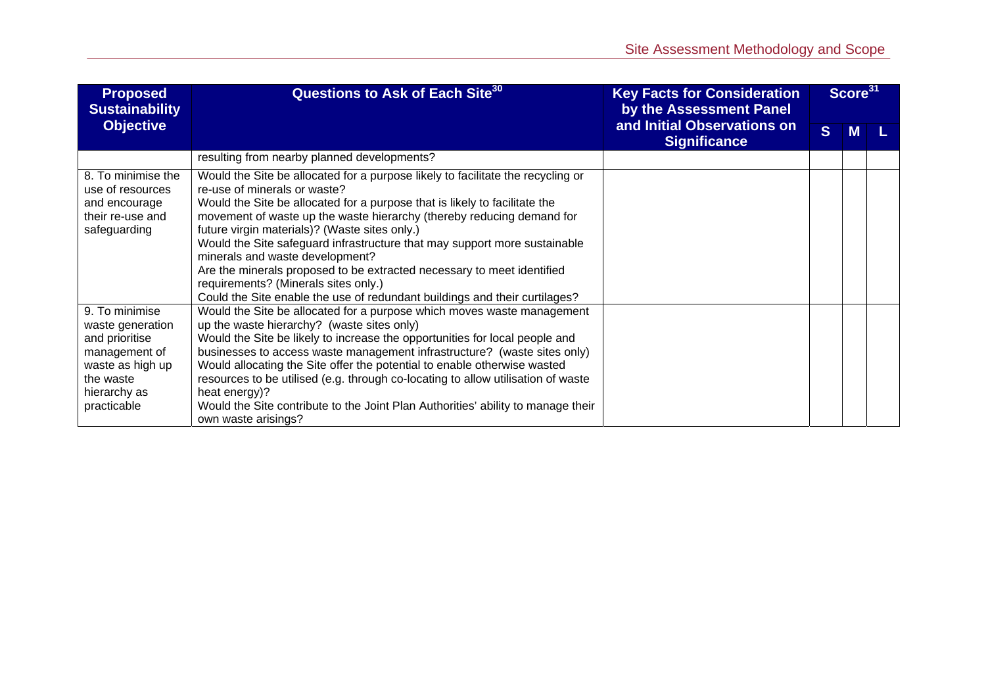| <b>Proposed</b><br><b>Sustainability</b>                                                                                              | Questions to Ask of Each Site <sup>30</sup><br><b>Key Facts for Consideration</b><br>by the Assessment Panel                                                                                                                                                                                                                                                                                                                                                                                                                                                                                                                            |                                                    |              | Score <sup>31</sup> |  |
|---------------------------------------------------------------------------------------------------------------------------------------|-----------------------------------------------------------------------------------------------------------------------------------------------------------------------------------------------------------------------------------------------------------------------------------------------------------------------------------------------------------------------------------------------------------------------------------------------------------------------------------------------------------------------------------------------------------------------------------------------------------------------------------------|----------------------------------------------------|--------------|---------------------|--|
| <b>Objective</b>                                                                                                                      |                                                                                                                                                                                                                                                                                                                                                                                                                                                                                                                                                                                                                                         | and Initial Observations on<br><b>Significance</b> | <sub>S</sub> | м                   |  |
|                                                                                                                                       | resulting from nearby planned developments?                                                                                                                                                                                                                                                                                                                                                                                                                                                                                                                                                                                             |                                                    |              |                     |  |
| 8. To minimise the<br>use of resources<br>and encourage<br>their re-use and<br>safeguarding                                           | Would the Site be allocated for a purpose likely to facilitate the recycling or<br>re-use of minerals or waste?<br>Would the Site be allocated for a purpose that is likely to facilitate the<br>movement of waste up the waste hierarchy (thereby reducing demand for<br>future virgin materials)? (Waste sites only.)<br>Would the Site safeguard infrastructure that may support more sustainable<br>minerals and waste development?<br>Are the minerals proposed to be extracted necessary to meet identified<br>requirements? (Minerals sites only.)<br>Could the Site enable the use of redundant buildings and their curtilages? |                                                    |              |                     |  |
| 9. To minimise<br>waste generation<br>and prioritise<br>management of<br>waste as high up<br>the waste<br>hierarchy as<br>practicable | Would the Site be allocated for a purpose which moves waste management<br>up the waste hierarchy? (waste sites only)<br>Would the Site be likely to increase the opportunities for local people and<br>businesses to access waste management infrastructure? (waste sites only)<br>Would allocating the Site offer the potential to enable otherwise wasted<br>resources to be utilised (e.g. through co-locating to allow utilisation of waste<br>heat energy)?<br>Would the Site contribute to the Joint Plan Authorities' ability to manage their<br>own waste arisings?                                                             |                                                    |              |                     |  |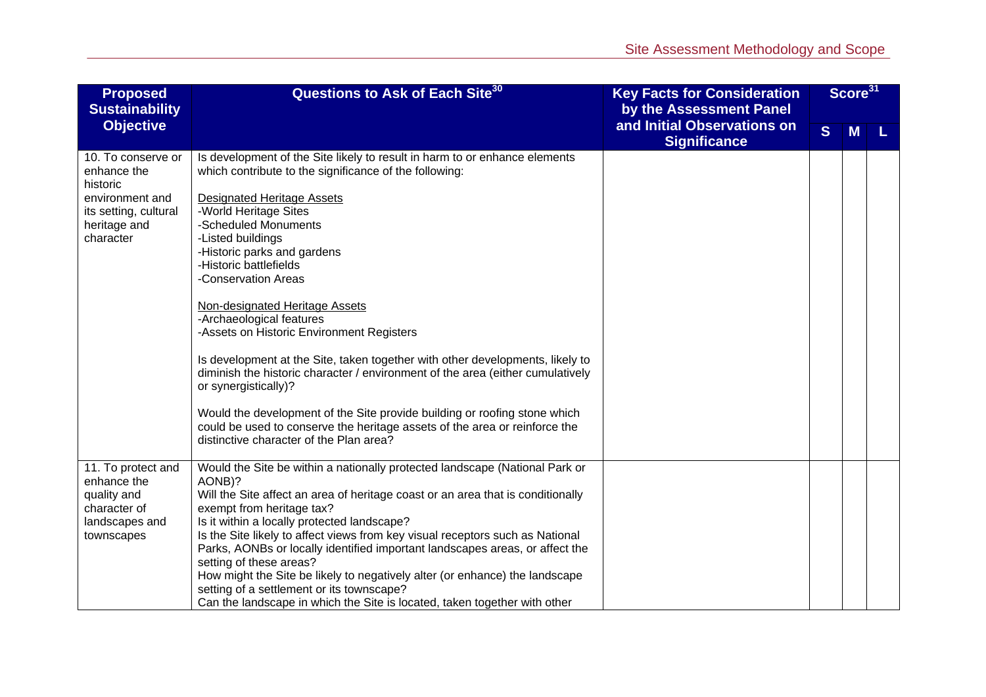| Questions to Ask of Each Site <sup>30</sup><br><b>Proposed</b><br><b>Sustainability</b>                                |                                                                                                                                                                                                                                                                                                                                                                                                                                                                                                                                                                                                                                                                                                                                                                                                                                             | <b>Key Facts for Consideration</b><br>by the Assessment Panel |  | Score <sup>31</sup> |  |
|------------------------------------------------------------------------------------------------------------------------|---------------------------------------------------------------------------------------------------------------------------------------------------------------------------------------------------------------------------------------------------------------------------------------------------------------------------------------------------------------------------------------------------------------------------------------------------------------------------------------------------------------------------------------------------------------------------------------------------------------------------------------------------------------------------------------------------------------------------------------------------------------------------------------------------------------------------------------------|---------------------------------------------------------------|--|---------------------|--|
| <b>Objective</b>                                                                                                       |                                                                                                                                                                                                                                                                                                                                                                                                                                                                                                                                                                                                                                                                                                                                                                                                                                             | and Initial Observations on<br><b>Significance</b>            |  | <b>M</b>            |  |
| 10. To conserve or<br>enhance the<br>historic<br>environment and<br>its setting, cultural<br>heritage and<br>character | Is development of the Site likely to result in harm to or enhance elements<br>which contribute to the significance of the following:<br><b>Designated Heritage Assets</b><br>-World Heritage Sites<br>-Scheduled Monuments<br>-Listed buildings<br>-Historic parks and gardens<br>-Historic battlefields<br>-Conservation Areas<br>Non-designated Heritage Assets<br>-Archaeological features<br>-Assets on Historic Environment Registers<br>Is development at the Site, taken together with other developments, likely to<br>diminish the historic character / environment of the area (either cumulatively<br>or synergistically)?<br>Would the development of the Site provide building or roofing stone which<br>could be used to conserve the heritage assets of the area or reinforce the<br>distinctive character of the Plan area? |                                                               |  |                     |  |
| 11. To protect and<br>enhance the<br>quality and<br>character of<br>landscapes and<br>townscapes                       | Would the Site be within a nationally protected landscape (National Park or<br>AONB)?<br>Will the Site affect an area of heritage coast or an area that is conditionally<br>exempt from heritage tax?<br>Is it within a locally protected landscape?<br>Is the Site likely to affect views from key visual receptors such as National<br>Parks, AONBs or locally identified important landscapes areas, or affect the<br>setting of these areas?<br>How might the Site be likely to negatively alter (or enhance) the landscape<br>setting of a settlement or its townscape?<br>Can the landscape in which the Site is located, taken together with other                                                                                                                                                                                   |                                                               |  |                     |  |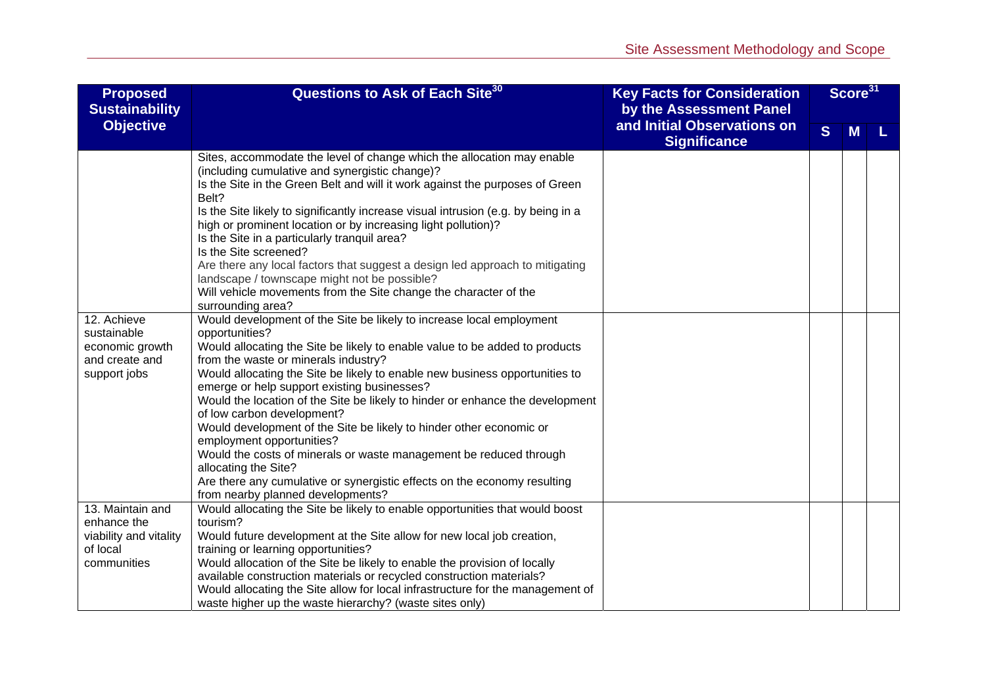| <b>Proposed</b><br><b>Sustainability</b>                                             | Questions to Ask of Each Site <sup>30</sup>                                                                                                                                                                                                                                                                                                                                                                                                                                                                                                                                                                                                                                                                                                                                   | <b>Key Facts for Consideration</b><br>by the Assessment Panel |   | Score <sup>31</sup> |  |
|--------------------------------------------------------------------------------------|-------------------------------------------------------------------------------------------------------------------------------------------------------------------------------------------------------------------------------------------------------------------------------------------------------------------------------------------------------------------------------------------------------------------------------------------------------------------------------------------------------------------------------------------------------------------------------------------------------------------------------------------------------------------------------------------------------------------------------------------------------------------------------|---------------------------------------------------------------|---|---------------------|--|
| <b>Objective</b>                                                                     |                                                                                                                                                                                                                                                                                                                                                                                                                                                                                                                                                                                                                                                                                                                                                                               | and Initial Observations on<br><b>Significance</b>            | S | M                   |  |
|                                                                                      | Sites, accommodate the level of change which the allocation may enable<br>(including cumulative and synergistic change)?<br>Is the Site in the Green Belt and will it work against the purposes of Green<br>Belt?<br>Is the Site likely to significantly increase visual intrusion (e.g. by being in a<br>high or prominent location or by increasing light pollution)?<br>Is the Site in a particularly tranquil area?<br>Is the Site screened?<br>Are there any local factors that suggest a design led approach to mitigating<br>landscape / townscape might not be possible?<br>Will vehicle movements from the Site change the character of the<br>surrounding area?                                                                                                     |                                                               |   |                     |  |
| 12. Achieve<br>sustainable<br>economic growth<br>and create and<br>support jobs      | Would development of the Site be likely to increase local employment<br>opportunities?<br>Would allocating the Site be likely to enable value to be added to products<br>from the waste or minerals industry?<br>Would allocating the Site be likely to enable new business opportunities to<br>emerge or help support existing businesses?<br>Would the location of the Site be likely to hinder or enhance the development<br>of low carbon development?<br>Would development of the Site be likely to hinder other economic or<br>employment opportunities?<br>Would the costs of minerals or waste management be reduced through<br>allocating the Site?<br>Are there any cumulative or synergistic effects on the economy resulting<br>from nearby planned developments? |                                                               |   |                     |  |
| 13. Maintain and<br>enhance the<br>viability and vitality<br>of local<br>communities | Would allocating the Site be likely to enable opportunities that would boost<br>tourism?<br>Would future development at the Site allow for new local job creation,<br>training or learning opportunities?<br>Would allocation of the Site be likely to enable the provision of locally<br>available construction materials or recycled construction materials?<br>Would allocating the Site allow for local infrastructure for the management of<br>waste higher up the waste hierarchy? (waste sites only)                                                                                                                                                                                                                                                                   |                                                               |   |                     |  |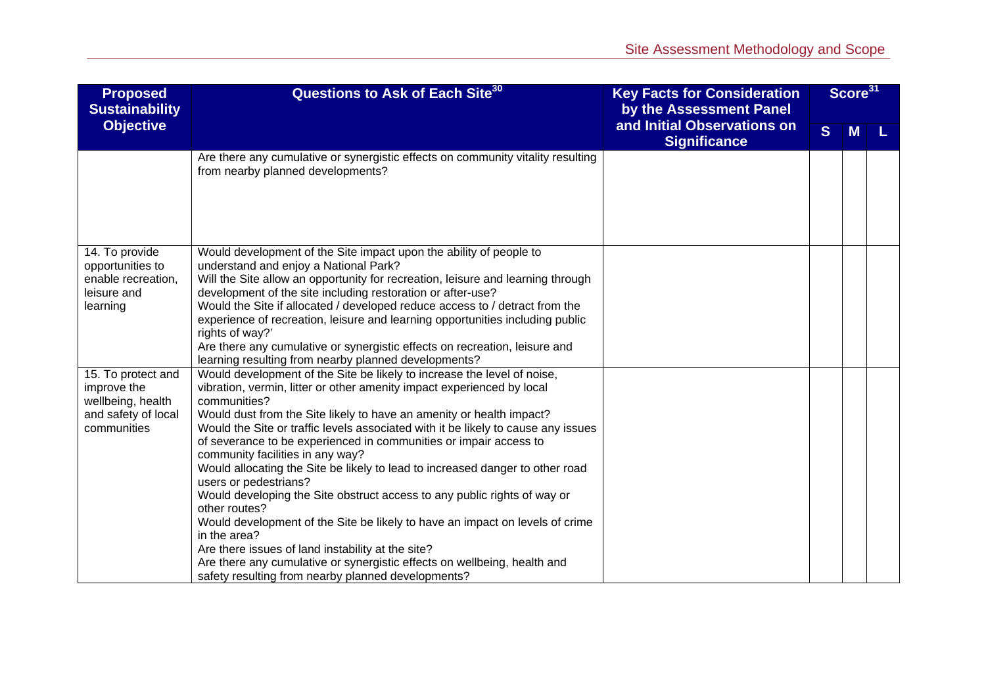| <b>Proposed</b><br><b>Sustainability</b>                                                     | Questions to Ask of Each Site <sup>30</sup>                                                                                                                                                                                                                                                                                                                                                                                                                                                                                                                                                                                                                                                                                                                                                                                                                                                                                           | <b>Key Facts for Consideration</b><br>by the Assessment Panel |              | Score <sup>31</sup> |  |
|----------------------------------------------------------------------------------------------|---------------------------------------------------------------------------------------------------------------------------------------------------------------------------------------------------------------------------------------------------------------------------------------------------------------------------------------------------------------------------------------------------------------------------------------------------------------------------------------------------------------------------------------------------------------------------------------------------------------------------------------------------------------------------------------------------------------------------------------------------------------------------------------------------------------------------------------------------------------------------------------------------------------------------------------|---------------------------------------------------------------|--------------|---------------------|--|
| <b>Objective</b>                                                                             |                                                                                                                                                                                                                                                                                                                                                                                                                                                                                                                                                                                                                                                                                                                                                                                                                                                                                                                                       | and Initial Observations on<br><b>Significance</b>            | <sub>S</sub> | M                   |  |
|                                                                                              | Are there any cumulative or synergistic effects on community vitality resulting<br>from nearby planned developments?                                                                                                                                                                                                                                                                                                                                                                                                                                                                                                                                                                                                                                                                                                                                                                                                                  |                                                               |              |                     |  |
| 14. To provide<br>opportunities to<br>enable recreation,<br>leisure and<br>learning          | Would development of the Site impact upon the ability of people to<br>understand and enjoy a National Park?<br>Will the Site allow an opportunity for recreation, leisure and learning through<br>development of the site including restoration or after-use?<br>Would the Site if allocated / developed reduce access to / detract from the<br>experience of recreation, leisure and learning opportunities including public<br>rights of way?'<br>Are there any cumulative or synergistic effects on recreation, leisure and<br>learning resulting from nearby planned developments?                                                                                                                                                                                                                                                                                                                                                |                                                               |              |                     |  |
| 15. To protect and<br>improve the<br>wellbeing, health<br>and safety of local<br>communities | Would development of the Site be likely to increase the level of noise,<br>vibration, vermin, litter or other amenity impact experienced by local<br>communities?<br>Would dust from the Site likely to have an amenity or health impact?<br>Would the Site or traffic levels associated with it be likely to cause any issues<br>of severance to be experienced in communities or impair access to<br>community facilities in any way?<br>Would allocating the Site be likely to lead to increased danger to other road<br>users or pedestrians?<br>Would developing the Site obstruct access to any public rights of way or<br>other routes?<br>Would development of the Site be likely to have an impact on levels of crime<br>in the area?<br>Are there issues of land instability at the site?<br>Are there any cumulative or synergistic effects on wellbeing, health and<br>safety resulting from nearby planned developments? |                                                               |              |                     |  |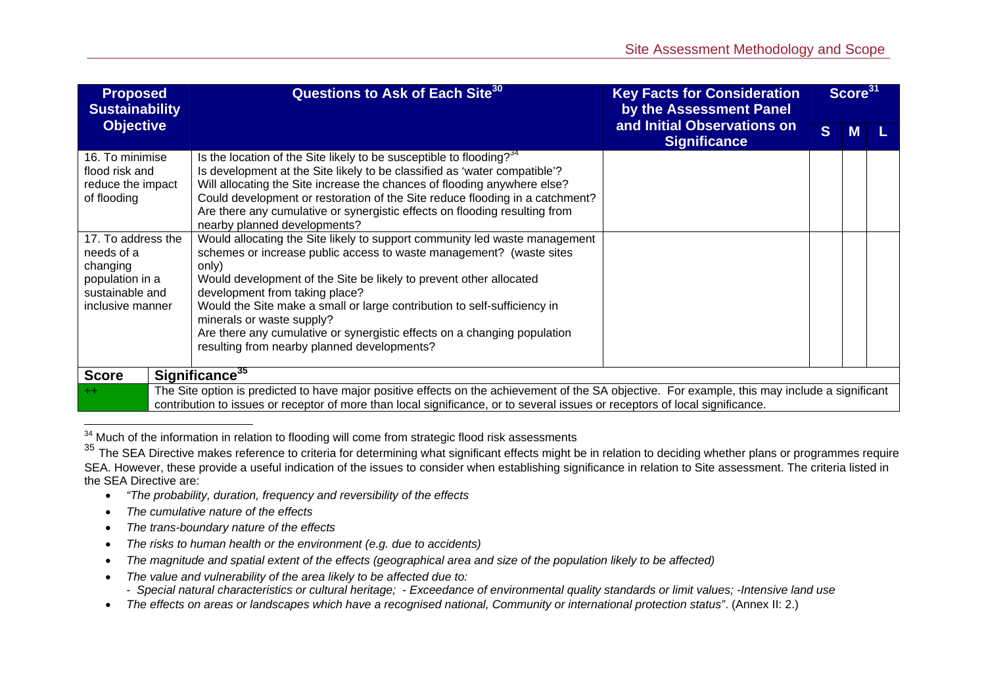| <b>Proposed</b><br><b>Sustainability</b>                                                                                                                                                                                                                                                                                                                                                                                                                                                                                                                                                                         | Questions to Ask of Each Site <sup>30</sup><br>by the Assessment Panel                                                                                                                                                                                                                                                                                                                                                        | <b>Key Facts for Consideration</b>                 | Score <sup>31</sup> |   |  |
|------------------------------------------------------------------------------------------------------------------------------------------------------------------------------------------------------------------------------------------------------------------------------------------------------------------------------------------------------------------------------------------------------------------------------------------------------------------------------------------------------------------------------------------------------------------------------------------------------------------|-------------------------------------------------------------------------------------------------------------------------------------------------------------------------------------------------------------------------------------------------------------------------------------------------------------------------------------------------------------------------------------------------------------------------------|----------------------------------------------------|---------------------|---|--|
| <b>Objective</b>                                                                                                                                                                                                                                                                                                                                                                                                                                                                                                                                                                                                 |                                                                                                                                                                                                                                                                                                                                                                                                                               | and Initial Observations on<br><b>Significance</b> |                     | M |  |
| 16. To minimise<br>flood risk and<br>reduce the impact<br>of flooding                                                                                                                                                                                                                                                                                                                                                                                                                                                                                                                                            | Is the location of the Site likely to be susceptible to flooding? $34$<br>Is development at the Site likely to be classified as 'water compatible'?<br>Will allocating the Site increase the chances of flooding anywhere else?<br>Could development or restoration of the Site reduce flooding in a catchment?<br>Are there any cumulative or synergistic effects on flooding resulting from<br>nearby planned developments? |                                                    |                     |   |  |
| 17. To address the<br>Would allocating the Site likely to support community led waste management<br>needs of a<br>schemes or increase public access to waste management? (waste sites<br>changing<br>only)<br>Would development of the Site be likely to prevent other allocated<br>population in a<br>sustainable and<br>development from taking place?<br>Would the Site make a small or large contribution to self-sufficiency in<br>inclusive manner<br>minerals or waste supply?<br>Are there any cumulative or synergistic effects on a changing population<br>resulting from nearby planned developments? |                                                                                                                                                                                                                                                                                                                                                                                                                               |                                                    |                     |   |  |
| <b>Score</b>                                                                                                                                                                                                                                                                                                                                                                                                                                                                                                                                                                                                     | Significance <sup>35</sup>                                                                                                                                                                                                                                                                                                                                                                                                    |                                                    |                     |   |  |
| $++$                                                                                                                                                                                                                                                                                                                                                                                                                                                                                                                                                                                                             | The Site option is predicted to have major positive effects on the achievement of the SA objective. For example, this may include a significant<br>contribution to issues or receptor of more than local significance, or to several issues or receptors of local significance.                                                                                                                                               |                                                    |                     |   |  |

<sup>&</sup>lt;sup>34</sup> Much of the information in relation to flooding will come from strategic flood risk assessments

- $\bullet$ *"The probability, duration, frequency and reversibility of the effects*
- $\bullet$ *The cumulative nature of the effects*
- *The trans-boundary nature of the effects*
- $\bullet$ *The risks to human health or the environment (e.g. due to accidents)*
- $\bullet$ *The magnitude and spatial extent of the effects (geographical area and size of the population likely to be affected)*
- c *The value and vulnerability of the area likely to be affected due to:* 
	- *Special natural characteristics or cultural heritage; Exceedance of environmental quality standards or limit values; -Intensive land use*
- *The effects on areas or landscapes which have a recognised national, Community or international protection status"*. (Annex II: 2.)

<sup>&</sup>lt;sup>35</sup> The SEA Directive makes reference to criteria for determining what significant effects might be in relation to deciding whether plans or programmes require SEA. However, these provide a useful indication of the issues to consider when establishing significance in relation to Site assessment. The criteria listed in the SEA Directive are: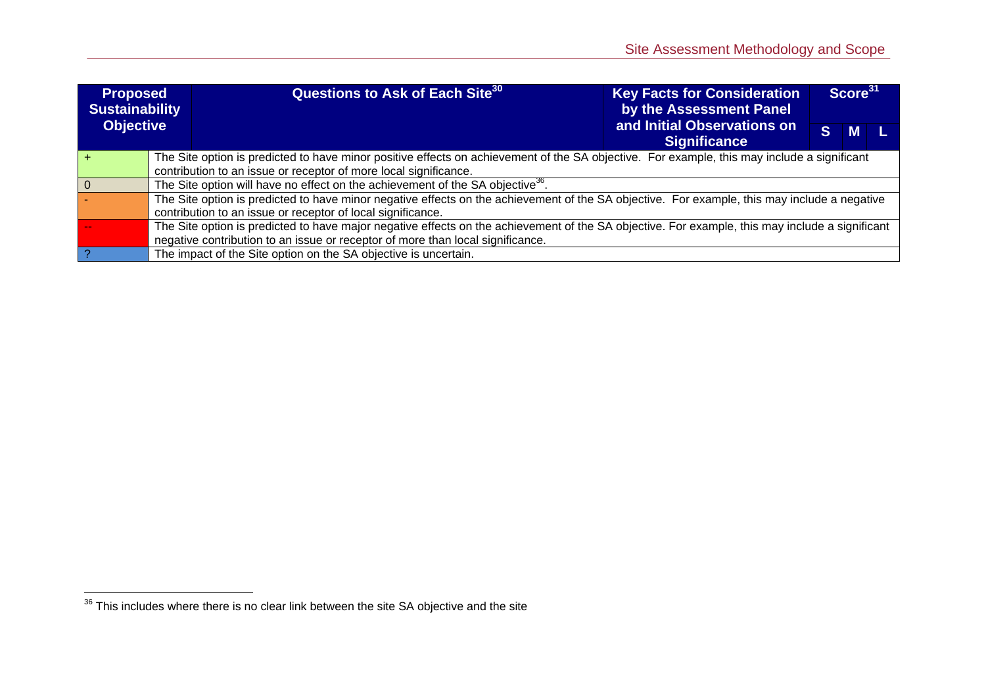| <b>Proposed</b><br><b>Sustainability</b> |                                                                                                                                             | <b>Questions to Ask of Each Site<sup>30</sup></b>                                                                                               | <b>Key Facts for Consideration</b><br>by the Assessment Panel |    | Score <sup>31</sup> |  |
|------------------------------------------|---------------------------------------------------------------------------------------------------------------------------------------------|-------------------------------------------------------------------------------------------------------------------------------------------------|---------------------------------------------------------------|----|---------------------|--|
| <b>Objective</b>                         |                                                                                                                                             |                                                                                                                                                 | and Initial Observations on<br><b>Significance</b>            | S. | M                   |  |
|                                          | The Site option is predicted to have minor positive effects on achievement of the SA objective. For example, this may include a significant |                                                                                                                                                 |                                                               |    |                     |  |
|                                          |                                                                                                                                             | contribution to an issue or receptor of more local significance.                                                                                |                                                               |    |                     |  |
|                                          |                                                                                                                                             | The Site option will have no effect on the achievement of the SA objective <sup>36</sup> .                                                      |                                                               |    |                     |  |
|                                          |                                                                                                                                             | The Site option is predicted to have minor negative effects on the achievement of the SA objective. For example, this may include a negative    |                                                               |    |                     |  |
|                                          |                                                                                                                                             | contribution to an issue or receptor of local significance.                                                                                     |                                                               |    |                     |  |
|                                          |                                                                                                                                             | The Site option is predicted to have major negative effects on the achievement of the SA objective. For example, this may include a significant |                                                               |    |                     |  |
|                                          |                                                                                                                                             | negative contribution to an issue or receptor of more than local significance.                                                                  |                                                               |    |                     |  |
|                                          | The impact of the Site option on the SA objective is uncertain.                                                                             |                                                                                                                                                 |                                                               |    |                     |  |

 $\overline{\phantom{a^{36}}\text{This} }$  includes where there is no clear link between the site SA objective and the site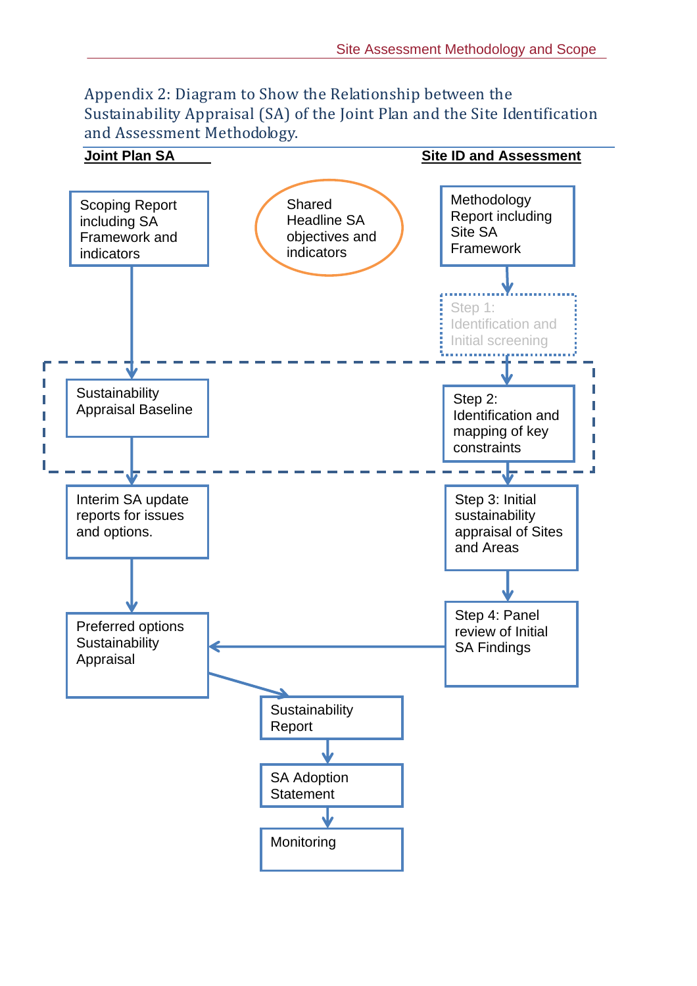Appendix 2: Diagram to Show the Relationship between the Sustainability Appraisal (SA) of the Joint Plan and the Site Identification and Assessment Methodology.

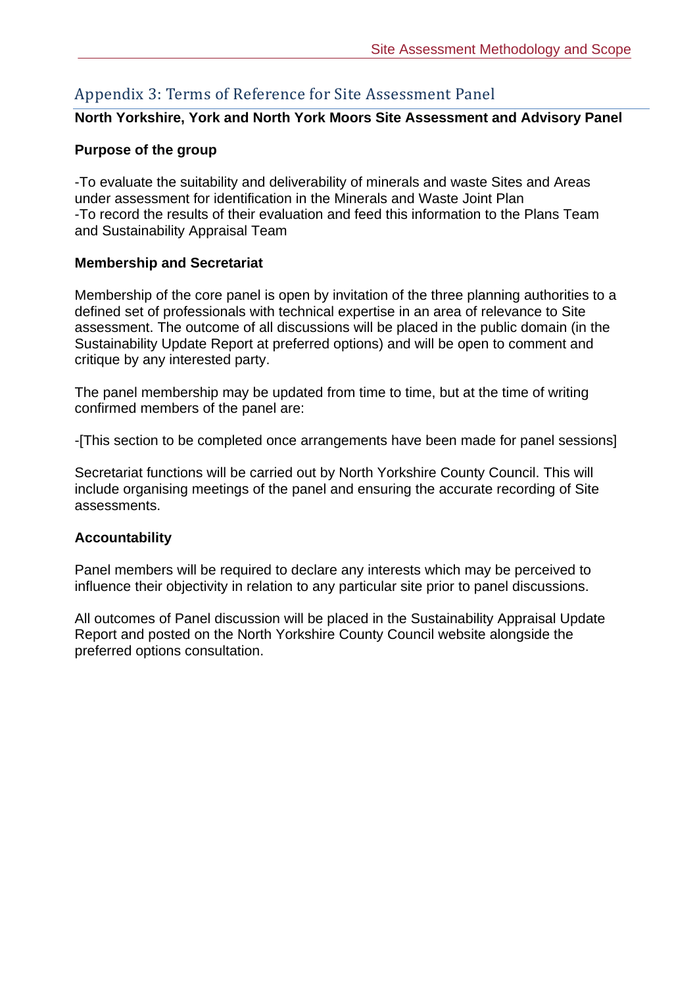### Appendix 3: Terms of Reference for Site Assessment Panel

#### **North Yorkshire, York and North York Moors Site Assessment and Advisory Panel**

#### **Purpose of the group**

-To evaluate the suitability and deliverability of minerals and waste Sites and Areas under assessment for identification in the Minerals and Waste Joint Plan -To record the results of their evaluation and feed this information to the Plans Team and Sustainability Appraisal Team

#### **Membership and Secretariat**

Membership of the core panel is open by invitation of the three planning authorities to a defined set of professionals with technical expertise in an area of relevance to Site assessment. The outcome of all discussions will be placed in the public domain (in the Sustainability Update Report at preferred options) and will be open to comment and critique by any interested party.

The panel membership may be updated from time to time, but at the time of writing confirmed members of the panel are:

-[This section to be completed once arrangements have been made for panel sessions]

Secretariat functions will be carried out by North Yorkshire County Council. This will include organising meetings of the panel and ensuring the accurate recording of Site assessments.

#### **Accountability**

Panel members will be required to declare any interests which may be perceived to influence their objectivity in relation to any particular site prior to panel discussions.

All outcomes of Panel discussion will be placed in the Sustainability Appraisal Update Report and posted on the North Yorkshire County Council website alongside the preferred options consultation.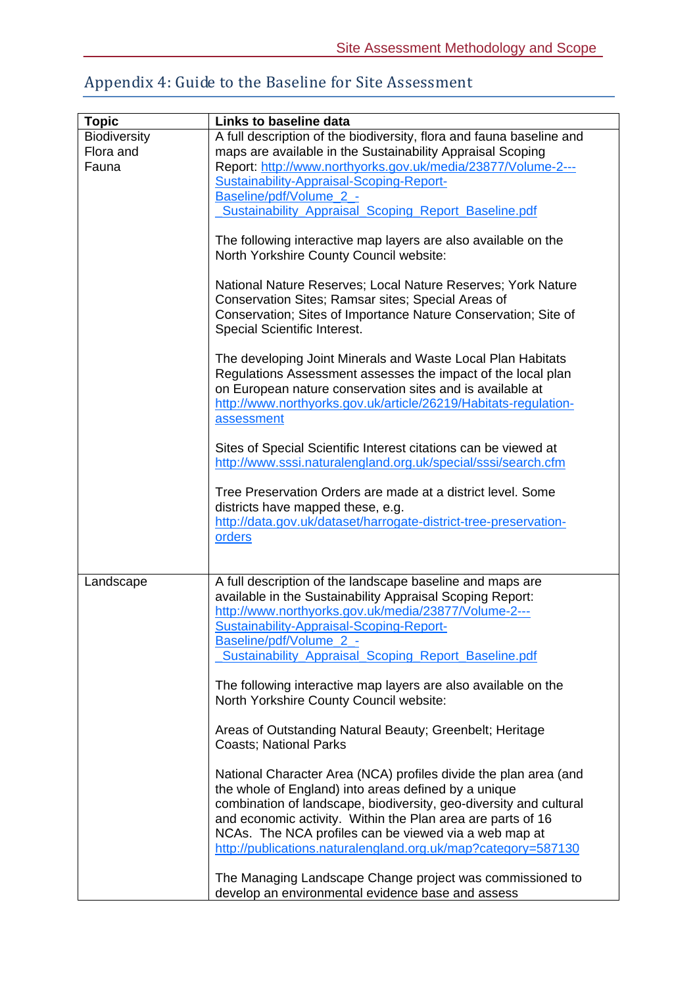### Appendix 4: Guide to the Baseline for Site Assessment

| <b>Topic</b>        | Links to baseline data                                                                                                                                                                                                                                                    |
|---------------------|---------------------------------------------------------------------------------------------------------------------------------------------------------------------------------------------------------------------------------------------------------------------------|
| <b>Biodiversity</b> | A full description of the biodiversity, flora and fauna baseline and                                                                                                                                                                                                      |
| Flora and           | maps are available in the Sustainability Appraisal Scoping                                                                                                                                                                                                                |
| Fauna               | Report: http://www.northyorks.gov.uk/media/23877/Volume-2---                                                                                                                                                                                                              |
|                     | Sustainability-Appraisal-Scoping-Report-                                                                                                                                                                                                                                  |
|                     | Baseline/pdf/Volume 2 -                                                                                                                                                                                                                                                   |
|                     | <b>Sustainability Appraisal Scoping Report Baseline.pdf</b>                                                                                                                                                                                                               |
|                     |                                                                                                                                                                                                                                                                           |
|                     | The following interactive map layers are also available on the<br>North Yorkshire County Council website:                                                                                                                                                                 |
|                     | National Nature Reserves; Local Nature Reserves; York Nature<br>Conservation Sites; Ramsar sites; Special Areas of<br>Conservation; Sites of Importance Nature Conservation; Site of<br>Special Scientific Interest.                                                      |
|                     | The developing Joint Minerals and Waste Local Plan Habitats<br>Regulations Assessment assesses the impact of the local plan<br>on European nature conservation sites and is available at<br>http://www.northyorks.gov.uk/article/26219/Habitats-regulation-<br>assessment |
|                     | Sites of Special Scientific Interest citations can be viewed at<br>http://www.sssi.naturalengland.org.uk/special/sssi/search.cfm                                                                                                                                          |
|                     | Tree Preservation Orders are made at a district level. Some<br>districts have mapped these, e.g.<br>http://data.gov.uk/dataset/harrogate-district-tree-preservation-                                                                                                      |
|                     | orders                                                                                                                                                                                                                                                                    |
| Landscape           | A full description of the landscape baseline and maps are                                                                                                                                                                                                                 |
|                     | available in the Sustainability Appraisal Scoping Report:                                                                                                                                                                                                                 |
|                     | http://www.northyorks.gov.uk/media/23877/Volume-2---                                                                                                                                                                                                                      |
|                     | Sustainability-Appraisal-Scoping-Report-                                                                                                                                                                                                                                  |
|                     | Baseline/pdf/Volume_2_-                                                                                                                                                                                                                                                   |
|                     | Sustainability Appraisal Scoping Report Baseline.pdf                                                                                                                                                                                                                      |
|                     | The following interactive map layers are also available on the<br>North Yorkshire County Council website:                                                                                                                                                                 |
|                     | Areas of Outstanding Natural Beauty; Greenbelt; Heritage<br><b>Coasts; National Parks</b>                                                                                                                                                                                 |
|                     | National Character Area (NCA) profiles divide the plan area (and<br>the whole of England) into areas defined by a unique<br>combination of landscape, biodiversity, geo-diversity and cultural<br>and economic activity. Within the Plan area are parts of 16             |
|                     | NCAs. The NCA profiles can be viewed via a web map at                                                                                                                                                                                                                     |
|                     | http://publications.naturalengland.org.uk/map?category=587130                                                                                                                                                                                                             |
|                     | The Managing Landscape Change project was commissioned to<br>develop an environmental evidence base and assess                                                                                                                                                            |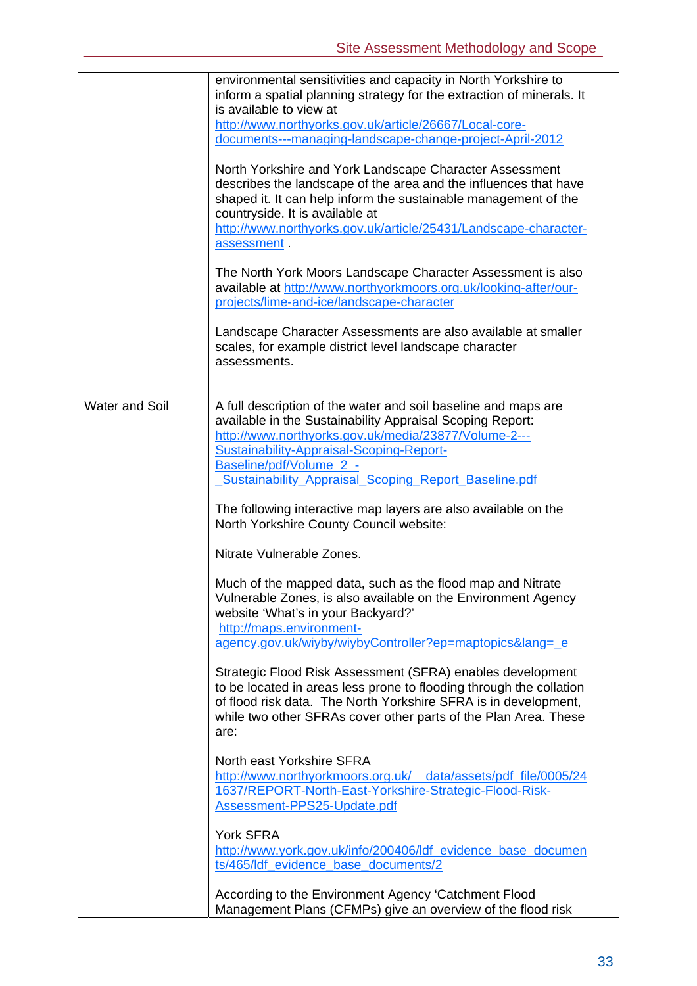|                | environmental sensitivities and capacity in North Yorkshire to<br>inform a spatial planning strategy for the extraction of minerals. It<br>is available to view at<br>http://www.northyorks.gov.uk/article/26667/Local-core-<br>documents---managing-landscape-change-project-April-2012                            |
|----------------|---------------------------------------------------------------------------------------------------------------------------------------------------------------------------------------------------------------------------------------------------------------------------------------------------------------------|
|                | North Yorkshire and York Landscape Character Assessment<br>describes the landscape of the area and the influences that have<br>shaped it. It can help inform the sustainable management of the<br>countryside. It is available at<br>http://www.northyorks.gov.uk/article/25431/Landscape-character-<br>assessment. |
|                | The North York Moors Landscape Character Assessment is also<br>available at http://www.northyorkmoors.org.uk/looking-after/our-<br>projects/lime-and-ice/landscape-character                                                                                                                                        |
|                | Landscape Character Assessments are also available at smaller<br>scales, for example district level landscape character<br>assessments.                                                                                                                                                                             |
| Water and Soil | A full description of the water and soil baseline and maps are<br>available in the Sustainability Appraisal Scoping Report:<br>http://www.northyorks.gov.uk/media/23877/Volume-2---<br>Sustainability-Appraisal-Scoping-Report-<br>Baseline/pdf/Volume_2_-<br>Sustainability_Appraisal_Scoping_Report_Baseline.pdf  |
|                | The following interactive map layers are also available on the<br>North Yorkshire County Council website:                                                                                                                                                                                                           |
|                | Nitrate Vulnerable Zones.                                                                                                                                                                                                                                                                                           |
|                | Much of the mapped data, such as the flood map and Nitrate<br>Vulnerable Zones, is also available on the Environment Agency<br>website 'What's in your Backyard?'<br>http://maps.environment-<br>agency.gov.uk/wiyby/wiybyController?ep=maptopics⟨=_e                                                               |
|                | Strategic Flood Risk Assessment (SFRA) enables development<br>to be located in areas less prone to flooding through the collation<br>of flood risk data. The North Yorkshire SFRA is in development,<br>while two other SFRAs cover other parts of the Plan Area. These<br>are:                                     |
|                | North east Yorkshire SFRA<br>http://www.northyorkmoors.org.uk/ __data/assets/pdf_file/0005/24<br>1637/REPORT-North-East-Yorkshire-Strategic-Flood-Risk-<br>Assessment-PPS25-Update.pdf                                                                                                                              |
|                | <b>York SFRA</b><br>http://www.york.gov.uk/info/200406/ldf evidence base documen<br>ts/465/ldf_evidence_base_documents/2                                                                                                                                                                                            |
|                | According to the Environment Agency 'Catchment Flood<br>Management Plans (CFMPs) give an overview of the flood risk                                                                                                                                                                                                 |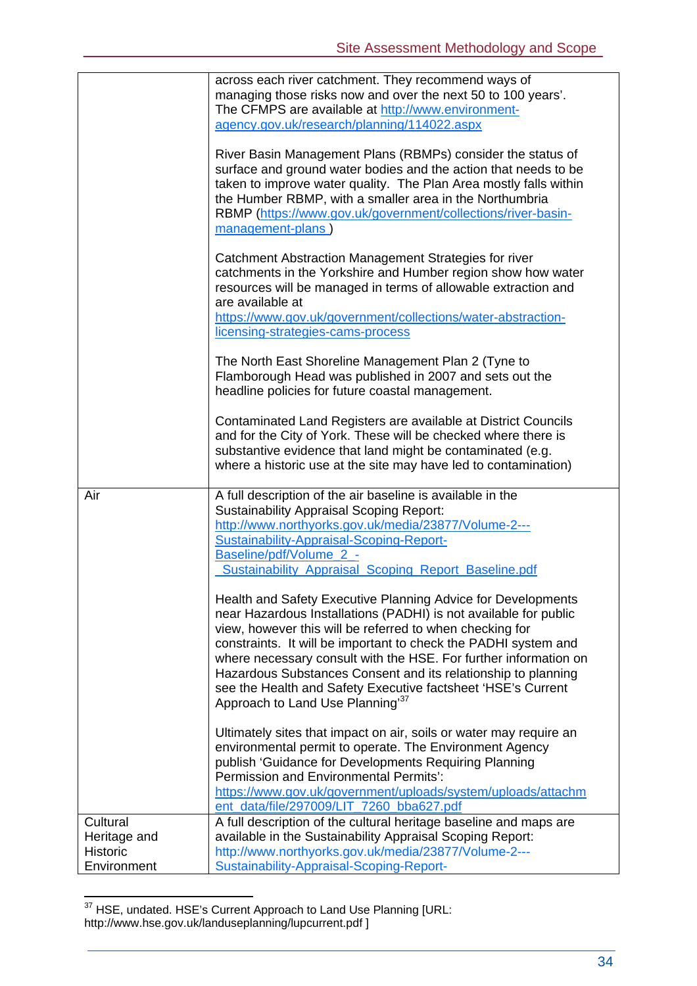|                                             | across each river catchment. They recommend ways of<br>managing those risks now and over the next 50 to 100 years'.<br>The CFMPS are available at http://www.environment-<br>agency.gov.uk/research/planning/114022.aspx<br>River Basin Management Plans (RBMPs) consider the status of<br>surface and ground water bodies and the action that needs to be<br>taken to improve water quality. The Plan Area mostly falls within<br>the Humber RBMP, with a smaller area in the Northumbria<br>RBMP (https://www.gov.uk/government/collections/river-basin-<br>management-plans) |
|---------------------------------------------|---------------------------------------------------------------------------------------------------------------------------------------------------------------------------------------------------------------------------------------------------------------------------------------------------------------------------------------------------------------------------------------------------------------------------------------------------------------------------------------------------------------------------------------------------------------------------------|
|                                             | Catchment Abstraction Management Strategies for river<br>catchments in the Yorkshire and Humber region show how water<br>resources will be managed in terms of allowable extraction and<br>are available at<br>https://www.gov.uk/government/collections/water-abstraction-<br>licensing-strategies-cams-process                                                                                                                                                                                                                                                                |
|                                             | The North East Shoreline Management Plan 2 (Tyne to<br>Flamborough Head was published in 2007 and sets out the<br>headline policies for future coastal management.                                                                                                                                                                                                                                                                                                                                                                                                              |
|                                             | Contaminated Land Registers are available at District Councils<br>and for the City of York. These will be checked where there is<br>substantive evidence that land might be contaminated (e.g.<br>where a historic use at the site may have led to contamination)                                                                                                                                                                                                                                                                                                               |
| Air                                         | A full description of the air baseline is available in the<br><b>Sustainability Appraisal Scoping Report:</b><br>http://www.northyorks.gov.uk/media/23877/Volume-2---<br>Sustainability-Appraisal-Scoping-Report-<br>Baseline/pdf/Volume 2 -<br><b>Sustainability Appraisal Scoping Report Baseline.pdf</b>                                                                                                                                                                                                                                                                     |
|                                             | Health and Safety Executive Planning Advice for Developments<br>near Hazardous Installations (PADHI) is not available for public<br>view, however this will be referred to when checking for<br>constraints. It will be important to check the PADHI system and<br>where necessary consult with the HSE. For further information on<br>Hazardous Substances Consent and its relationship to planning<br>see the Health and Safety Executive factsheet 'HSE's Current<br>Approach to Land Use Planning <sup>37</sup>                                                             |
|                                             | Ultimately sites that impact on air, soils or water may require an<br>environmental permit to operate. The Environment Agency<br>publish 'Guidance for Developments Requiring Planning<br><b>Permission and Environmental Permits':</b><br>https://www.gov.uk/government/uploads/system/uploads/attachm<br>ent_data/file/297009/LIT_7260_bba627.pdf                                                                                                                                                                                                                             |
| Cultural<br>Heritage and<br><b>Historic</b> | A full description of the cultural heritage baseline and maps are<br>available in the Sustainability Appraisal Scoping Report:<br>http://www.northyorks.gov.uk/media/23877/Volume-2---                                                                                                                                                                                                                                                                                                                                                                                          |
| Environment                                 | Sustainability-Appraisal-Scoping-Report-                                                                                                                                                                                                                                                                                                                                                                                                                                                                                                                                        |

 $\overline{a}$  $37$  HSE, undated. HSE's Current Approach to Land Use Planning [URL: http://www.hse.gov.uk/landuseplanning/lupcurrent.pdf ]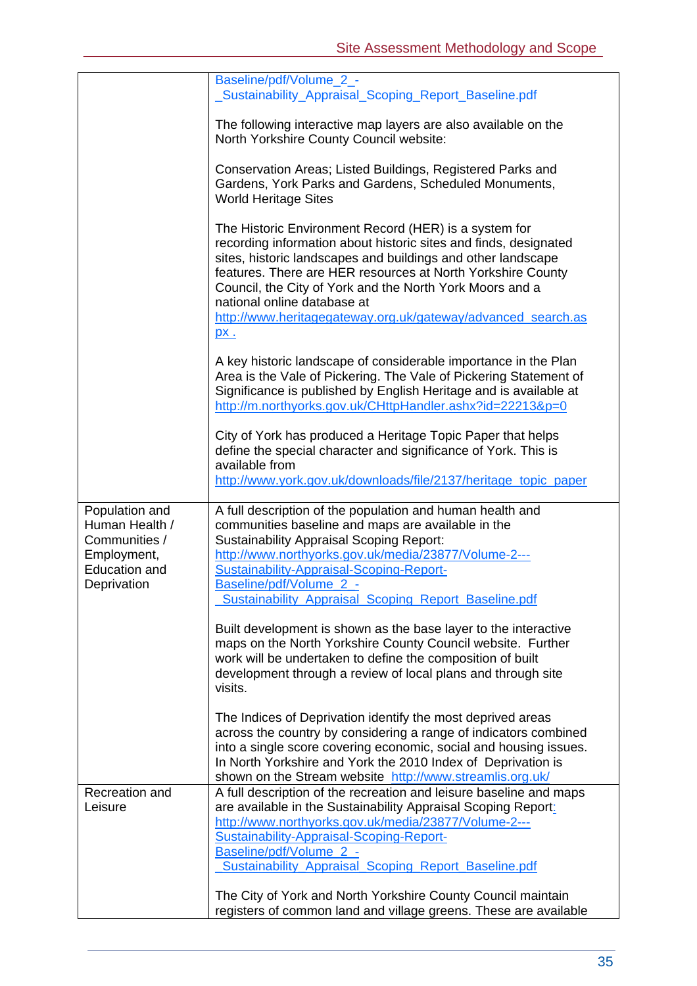|                                                                                                         | Baseline/pdf/Volume_2_-<br>_Sustainability_Appraisal_Scoping_Report_Baseline.pdf                                                                                                                                                                                                                                                                                                                                                  |
|---------------------------------------------------------------------------------------------------------|-----------------------------------------------------------------------------------------------------------------------------------------------------------------------------------------------------------------------------------------------------------------------------------------------------------------------------------------------------------------------------------------------------------------------------------|
|                                                                                                         | The following interactive map layers are also available on the<br>North Yorkshire County Council website:                                                                                                                                                                                                                                                                                                                         |
|                                                                                                         | Conservation Areas; Listed Buildings, Registered Parks and<br>Gardens, York Parks and Gardens, Scheduled Monuments,<br><b>World Heritage Sites</b>                                                                                                                                                                                                                                                                                |
|                                                                                                         | The Historic Environment Record (HER) is a system for<br>recording information about historic sites and finds, designated<br>sites, historic landscapes and buildings and other landscape<br>features. There are HER resources at North Yorkshire County<br>Council, the City of York and the North York Moors and a<br>national online database at<br>http://www.heritagegateway.org.uk/gateway/advanced search.as<br><u>px.</u> |
|                                                                                                         | A key historic landscape of considerable importance in the Plan<br>Area is the Vale of Pickering. The Vale of Pickering Statement of<br>Significance is published by English Heritage and is available at<br>http://m.northyorks.gov.uk/CHttpHandler.ashx?id=22213&p=0                                                                                                                                                            |
|                                                                                                         | City of York has produced a Heritage Topic Paper that helps<br>define the special character and significance of York. This is<br>available from<br>http://www.york.gov.uk/downloads/file/2137/heritage topic paper                                                                                                                                                                                                                |
| Population and<br>Human Health /<br>Communities /<br>Employment,<br><b>Education and</b><br>Deprivation | A full description of the population and human health and<br>communities baseline and maps are available in the<br><b>Sustainability Appraisal Scoping Report:</b><br>http://www.northyorks.gov.uk/media/23877/Volume-2---<br>Sustainability-Appraisal-Scoping-Report-<br>Baseline/pdf/Volume_2_-                                                                                                                                 |
|                                                                                                         | Sustainability Appraisal Scoping Report Baseline.pdf                                                                                                                                                                                                                                                                                                                                                                              |
|                                                                                                         | Built development is shown as the base layer to the interactive<br>maps on the North Yorkshire County Council website. Further<br>work will be undertaken to define the composition of built<br>development through a review of local plans and through site<br>visits.                                                                                                                                                           |
|                                                                                                         | The Indices of Deprivation identify the most deprived areas<br>across the country by considering a range of indicators combined<br>into a single score covering economic, social and housing issues.<br>In North Yorkshire and York the 2010 Index of Deprivation is<br>shown on the Stream website http://www.streamlis.org.uk/                                                                                                  |
| Recreation and<br>Leisure                                                                               | A full description of the recreation and leisure baseline and maps<br>are available in the Sustainability Appraisal Scoping Report:<br>http://www.northyorks.gov.uk/media/23877/Volume-2---<br>Sustainability-Appraisal-Scoping-Report-<br>Baseline/pdf/Volume_2_-<br>Sustainability Appraisal Scoping Report Baseline.pdf                                                                                                        |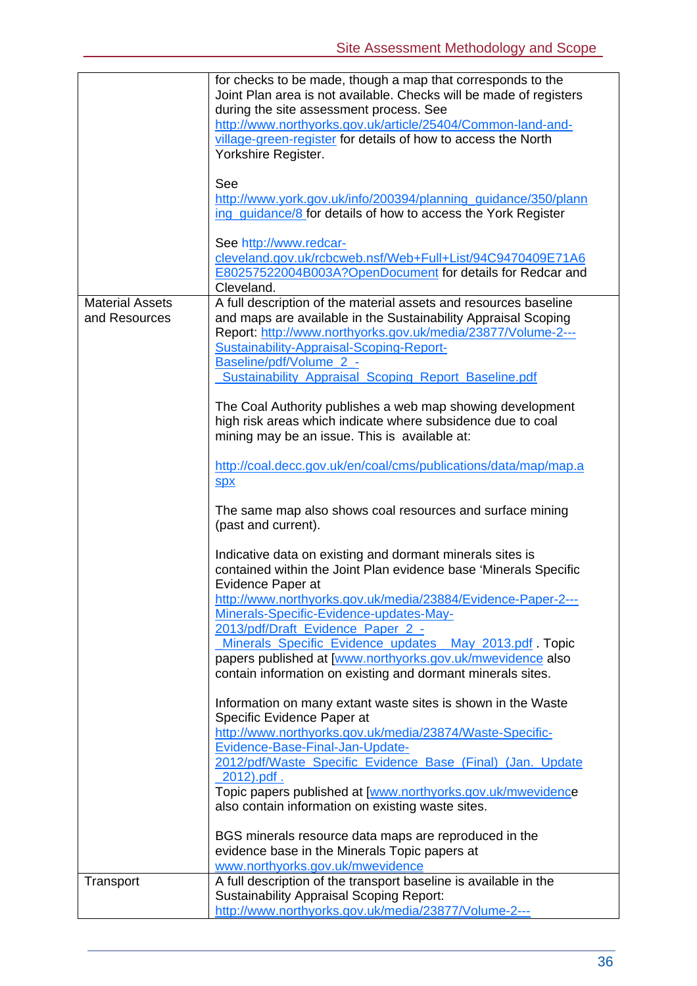|                                         | for checks to be made, though a map that corresponds to the<br>Joint Plan area is not available. Checks will be made of registers<br>during the site assessment process. See<br>http://www.northyorks.gov.uk/article/25404/Common-land-and-<br>village-green-register for details of how to access the North<br>Yorkshire Register.<br>See<br>http://www.york.gov.uk/info/200394/planning_guidance/350/plann<br>ing_quidance/8 for details of how to access the York Register             |
|-----------------------------------------|-------------------------------------------------------------------------------------------------------------------------------------------------------------------------------------------------------------------------------------------------------------------------------------------------------------------------------------------------------------------------------------------------------------------------------------------------------------------------------------------|
|                                         | See http://www.redcar-                                                                                                                                                                                                                                                                                                                                                                                                                                                                    |
|                                         | cleveland.gov.uk/rcbcweb.nsf/Web+Full+List/94C9470409E71A6<br>E80257522004B003A?OpenDocument for details for Redcar and<br>Cleveland.                                                                                                                                                                                                                                                                                                                                                     |
| <b>Material Assets</b><br>and Resources | A full description of the material assets and resources baseline<br>and maps are available in the Sustainability Appraisal Scoping<br>Report: http://www.northyorks.gov.uk/media/23877/Volume-2---<br>Sustainability-Appraisal-Scoping-Report-<br>Baseline/pdf/Volume_2_-<br>Sustainability_Appraisal_Scoping_Report_Baseline.pdf                                                                                                                                                         |
|                                         | The Coal Authority publishes a web map showing development<br>high risk areas which indicate where subsidence due to coal<br>mining may be an issue. This is available at:                                                                                                                                                                                                                                                                                                                |
|                                         | http://coal.decc.gov.uk/en/coal/cms/publications/data/map/map.a<br><b>Spx</b>                                                                                                                                                                                                                                                                                                                                                                                                             |
|                                         | The same map also shows coal resources and surface mining<br>(past and current).                                                                                                                                                                                                                                                                                                                                                                                                          |
|                                         | Indicative data on existing and dormant minerals sites is<br>contained within the Joint Plan evidence base 'Minerals Specific<br>Evidence Paper at<br>http://www.northyorks.gov.uk/media/23884/Evidence-Paper-2---<br>Minerals-Specific-Evidence-updates-May-<br>2013/pdf/Draft Evidence Paper 2 -<br>Minerals Specific Evidence updates May 2013.pdf. Topic<br>papers published at [www.northyorks.gov.uk/mwevidence also<br>contain information on existing and dormant minerals sites. |
|                                         | Information on many extant waste sites is shown in the Waste<br>Specific Evidence Paper at<br>http://www.northyorks.gov.uk/media/23874/Waste-Specific-<br>Evidence-Base-Final-Jan-Update-<br>2012/pdf/Waste_Specific_Evidence_Base_(Final)_(Jan._Update<br>$2012$ ).pdf.<br>Topic papers published at [www.northyorks.gov.uk/mwevidence<br>also contain information on existing waste sites.                                                                                              |
|                                         | BGS minerals resource data maps are reproduced in the<br>evidence base in the Minerals Topic papers at<br>www.northyorks.gov.uk/mwevidence                                                                                                                                                                                                                                                                                                                                                |
| Transport                               | A full description of the transport baseline is available in the<br><b>Sustainability Appraisal Scoping Report:</b><br>http://www.northyorks.gov.uk/media/23877/Volume-2---                                                                                                                                                                                                                                                                                                               |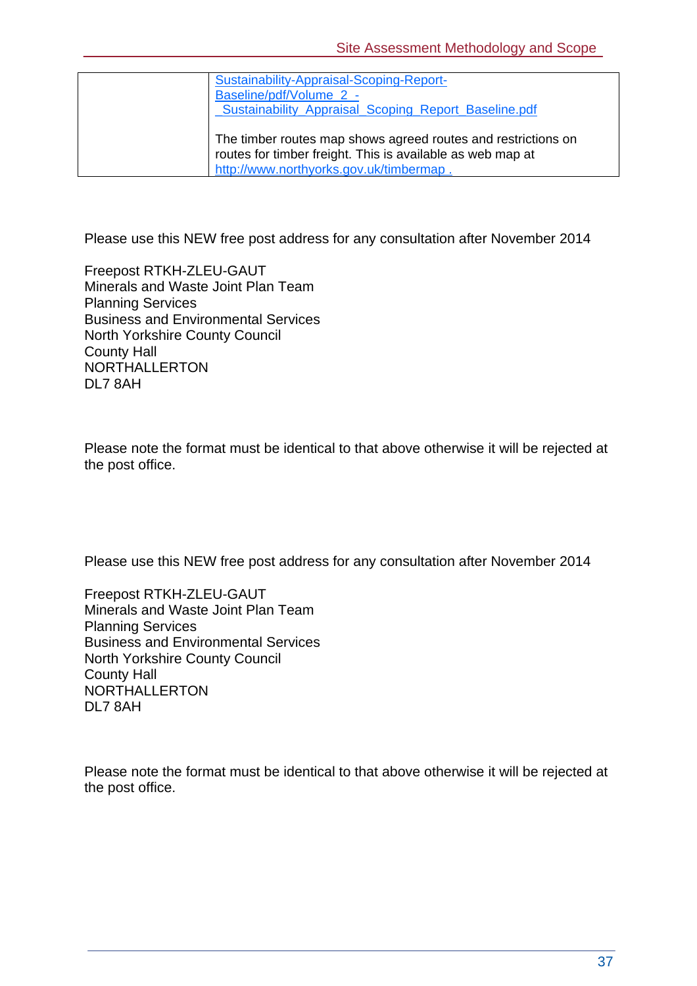| Sustainability-Appraisal-Scoping-Report-<br>Baseline/pdf/Volume 2 -<br><b>_Sustainability_Appraisal_Scoping_Report_Baseline.pdf</b>                                    |
|------------------------------------------------------------------------------------------------------------------------------------------------------------------------|
| The timber routes map shows agreed routes and restrictions on<br>routes for timber freight. This is available as web map at<br>http://www.northyorks.gov.uk/timbermap. |

Please use this NEW free post address for any consultation after November 2014

Freepost RTKH-ZLEU-GAUT Minerals and Waste Joint Plan Team Planning Services Business and Environmental Services North Yorkshire County Council County Hall NORTHALLERTON DL7 8AH

Please note the format must be identical to that above otherwise it will be rejected at the post office.

Please use this NEW free post address for any consultation after November 2014

Freepost RTKH-ZLEU-GAUT Minerals and Waste Joint Plan Team Planning Services Business and Environmental Services North Yorkshire County Council County Hall NORTHALLERTON DL7 8AH

Please note the format must be identical to that above otherwise it will be rejected at the post office.